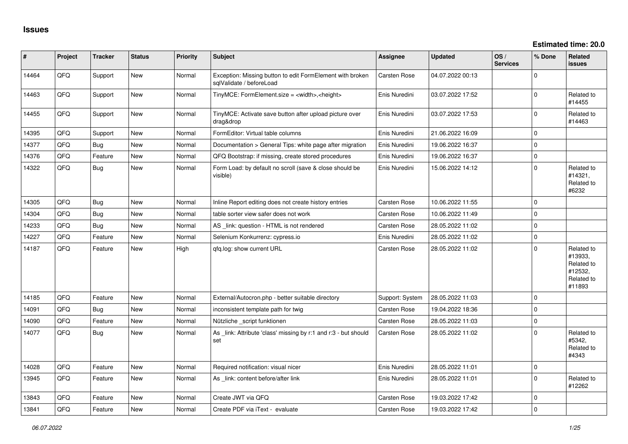| #     | Project | <b>Tracker</b> | <b>Status</b> | <b>Priority</b> | <b>Subject</b>                                                                        | <b>Assignee</b>     | <b>Updated</b>   | OS/<br><b>Services</b> | % Done              | Related<br><b>issues</b>                                               |
|-------|---------|----------------|---------------|-----------------|---------------------------------------------------------------------------------------|---------------------|------------------|------------------------|---------------------|------------------------------------------------------------------------|
| 14464 | QFQ     | Support        | New           | Normal          | Exception: Missing button to edit FormElement with broken<br>sqlValidate / beforeLoad | <b>Carsten Rose</b> | 04.07.2022 00:13 |                        | $\Omega$            |                                                                        |
| 14463 | QFQ     | Support        | <b>New</b>    | Normal          | TinyMCE: FormElement.size = <width>,<height></height></width>                         | Enis Nuredini       | 03.07.2022 17:52 |                        | $\mathbf 0$         | Related to<br>#14455                                                   |
| 14455 | QFQ     | Support        | <b>New</b>    | Normal          | TinyMCE: Activate save button after upload picture over<br>drag&drop                  | Enis Nuredini       | 03.07.2022 17:53 |                        | $\mathbf 0$         | Related to<br>#14463                                                   |
| 14395 | QFQ     | Support        | <b>New</b>    | Normal          | FormEditor: Virtual table columns                                                     | Enis Nuredini       | 21.06.2022 16:09 |                        | $\Omega$            |                                                                        |
| 14377 | QFQ     | Bug            | <b>New</b>    | Normal          | Documentation > General Tips: white page after migration                              | Enis Nuredini       | 19.06.2022 16:37 |                        | $\mathbf 0$         |                                                                        |
| 14376 | QFQ     | Feature        | <b>New</b>    | Normal          | QFQ Bootstrap: if missing, create stored procedures                                   | Enis Nuredini       | 19.06.2022 16:37 |                        | $\mathbf 0$         |                                                                        |
| 14322 | QFQ     | Bug            | <b>New</b>    | Normal          | Form Load: by default no scroll (save & close should be<br>visible)                   | Enis Nuredini       | 15.06.2022 14:12 |                        | $\Omega$            | Related to<br>#14321,<br>Related to<br>#6232                           |
| 14305 | QFQ     | <b>Bug</b>     | <b>New</b>    | Normal          | Inline Report editing does not create history entries                                 | Carsten Rose        | 10.06.2022 11:55 |                        | $\mathbf 0$         |                                                                        |
| 14304 | QFQ     | <b>Bug</b>     | <b>New</b>    | Normal          | table sorter view safer does not work                                                 | <b>Carsten Rose</b> | 10.06.2022 11:49 |                        | $\mathbf 0$         |                                                                        |
| 14233 | QFQ     | <b>Bug</b>     | <b>New</b>    | Normal          | AS _link: question - HTML is not rendered                                             | Carsten Rose        | 28.05.2022 11:02 |                        | $\mathbf 0$         |                                                                        |
| 14227 | QFQ     | Feature        | <b>New</b>    | Normal          | Selenium Konkurrenz: cypress.io                                                       | Enis Nuredini       | 28.05.2022 11:02 |                        | $\mathsf{O}\xspace$ |                                                                        |
| 14187 | QFQ     | Feature        | New           | High            | qfq.log: show current URL                                                             | Carsten Rose        | 28.05.2022 11:02 |                        | $\mathbf 0$         | Related to<br>#13933,<br>Related to<br>#12532,<br>Related to<br>#11893 |
| 14185 | QFQ     | Feature        | New           | Normal          | External/Autocron.php - better suitable directory                                     | Support: System     | 28.05.2022 11:03 |                        | $\mathbf 0$         |                                                                        |
| 14091 | QFQ     | Bug            | <b>New</b>    | Normal          | inconsistent template path for twig                                                   | Carsten Rose        | 19.04.2022 18:36 |                        | $\mathbf 0$         |                                                                        |
| 14090 | QFQ     | Feature        | <b>New</b>    | Normal          | Nützliche _script funktionen                                                          | <b>Carsten Rose</b> | 28.05.2022 11:03 |                        | $\mathbf 0$         |                                                                        |
| 14077 | QFQ     | <b>Bug</b>     | New           | Normal          | As _link: Attribute 'class' missing by r:1 and r:3 - but should<br>set                | Carsten Rose        | 28.05.2022 11:02 |                        | $\Omega$            | Related to<br>#5342,<br>Related to<br>#4343                            |
| 14028 | QFQ     | Feature        | <b>New</b>    | Normal          | Required notification: visual nicer                                                   | Enis Nuredini       | 28.05.2022 11:01 |                        | $\mathbf 0$         |                                                                        |
| 13945 | QFQ     | Feature        | <b>New</b>    | Normal          | As _link: content before/after link                                                   | Enis Nuredini       | 28.05.2022 11:01 |                        | $\Omega$            | Related to<br>#12262                                                   |
| 13843 | QFQ     | Feature        | <b>New</b>    | Normal          | Create JWT via QFQ                                                                    | <b>Carsten Rose</b> | 19.03.2022 17:42 |                        | $\mathbf 0$         |                                                                        |
| 13841 | QFQ     | Feature        | New           | Normal          | Create PDF via iText - evaluate                                                       | <b>Carsten Rose</b> | 19.03.2022 17:42 |                        | $\mathbf 0$         |                                                                        |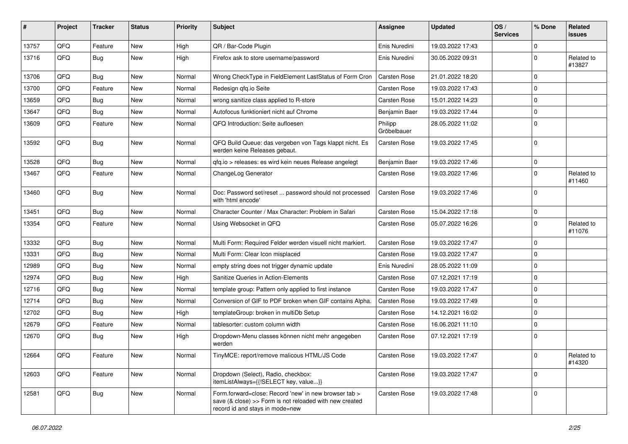| ∦     | Project | <b>Tracker</b> | <b>Status</b> | <b>Priority</b> | Subject                                                                                                                                             | Assignee               | <b>Updated</b>   | OS/<br><b>Services</b> | % Done      | Related<br><b>issues</b> |
|-------|---------|----------------|---------------|-----------------|-----------------------------------------------------------------------------------------------------------------------------------------------------|------------------------|------------------|------------------------|-------------|--------------------------|
| 13757 | QFQ     | Feature        | <b>New</b>    | High            | QR / Bar-Code Plugin                                                                                                                                | Enis Nuredini          | 19.03.2022 17:43 |                        | $\mathbf 0$ |                          |
| 13716 | QFQ     | Bug            | <b>New</b>    | High            | Firefox ask to store username/password                                                                                                              | Enis Nuredini          | 30.05.2022 09:31 |                        | $\mathbf 0$ | Related to<br>#13827     |
| 13706 | QFQ     | Bug            | New           | Normal          | Wrong CheckType in FieldElement LastStatus of Form Cron                                                                                             | Carsten Rose           | 21.01.2022 18:20 |                        | $\mathbf 0$ |                          |
| 13700 | QFQ     | Feature        | <b>New</b>    | Normal          | Redesign qfq.io Seite                                                                                                                               | Carsten Rose           | 19.03.2022 17:43 |                        | $\mathbf 0$ |                          |
| 13659 | QFQ     | <b>Bug</b>     | <b>New</b>    | Normal          | wrong sanitize class applied to R-store                                                                                                             | Carsten Rose           | 15.01.2022 14:23 |                        | $\mathbf 0$ |                          |
| 13647 | QFQ     | Bug            | <b>New</b>    | Normal          | Autofocus funktioniert nicht auf Chrome                                                                                                             | Benjamin Baer          | 19.03.2022 17:44 |                        | 0           |                          |
| 13609 | QFQ     | Feature        | <b>New</b>    | Normal          | QFQ Introduction: Seite aufloesen                                                                                                                   | Philipp<br>Gröbelbauer | 28.05.2022 11:02 |                        | $\mathbf 0$ |                          |
| 13592 | QFQ     | Bug            | <b>New</b>    | Normal          | QFQ Build Queue: das vergeben von Tags klappt nicht. Es<br>werden keine Releases gebaut.                                                            | Carsten Rose           | 19.03.2022 17:45 |                        | $\mathbf 0$ |                          |
| 13528 | QFQ     | Bug            | New           | Normal          | qfq.io > releases: es wird kein neues Release angelegt                                                                                              | Benjamin Baer          | 19.03.2022 17:46 |                        | $\mathbf 0$ |                          |
| 13467 | QFQ     | Feature        | <b>New</b>    | Normal          | ChangeLog Generator                                                                                                                                 | Carsten Rose           | 19.03.2022 17:46 |                        | 0           | Related to<br>#11460     |
| 13460 | QFQ     | Bug            | New           | Normal          | Doc: Password set/reset  password should not processed<br>with 'html encode'                                                                        | Carsten Rose           | 19.03.2022 17:46 |                        | $\mathbf 0$ |                          |
| 13451 | QFQ     | Bug            | New           | Normal          | Character Counter / Max Character: Problem in Safari                                                                                                | Carsten Rose           | 15.04.2022 17:18 |                        | $\mathbf 0$ |                          |
| 13354 | QFQ     | Feature        | <b>New</b>    | Normal          | Using Websocket in QFQ                                                                                                                              | Carsten Rose           | 05.07.2022 16:26 |                        | $\mathbf 0$ | Related to<br>#11076     |
| 13332 | QFQ     | Bug            | <b>New</b>    | Normal          | Multi Form: Required Felder werden visuell nicht markiert.                                                                                          | Carsten Rose           | 19.03.2022 17:47 |                        | $\mathbf 0$ |                          |
| 13331 | QFQ     | Bug            | <b>New</b>    | Normal          | Multi Form: Clear Icon misplaced                                                                                                                    | Carsten Rose           | 19.03.2022 17:47 |                        | $\mathbf 0$ |                          |
| 12989 | QFQ     | <b>Bug</b>     | <b>New</b>    | Normal          | empty string does not trigger dynamic update                                                                                                        | Enis Nuredini          | 28.05.2022 11:09 |                        | $\mathbf 0$ |                          |
| 12974 | QFQ     | Bug            | New           | High            | Sanitize Queries in Action-Elements                                                                                                                 | Carsten Rose           | 07.12.2021 17:19 |                        | $\mathbf 0$ |                          |
| 12716 | QFQ     | Bug            | New           | Normal          | template group: Pattern only applied to first instance                                                                                              | Carsten Rose           | 19.03.2022 17:47 |                        | $\mathbf 0$ |                          |
| 12714 | QFQ     | Bug            | <b>New</b>    | Normal          | Conversion of GIF to PDF broken when GIF contains Alpha.                                                                                            | Carsten Rose           | 19.03.2022 17:49 |                        | $\mathbf 0$ |                          |
| 12702 | QFQ     | Bug            | <b>New</b>    | High            | templateGroup: broken in multiDb Setup                                                                                                              | Carsten Rose           | 14.12.2021 16:02 |                        | $\mathbf 0$ |                          |
| 12679 | QFQ     | Feature        | <b>New</b>    | Normal          | tablesorter: custom column width                                                                                                                    | Carsten Rose           | 16.06.2021 11:10 |                        | $\mathbf 0$ |                          |
| 12670 | QFQ     | Bug            | New           | High            | Dropdown-Menu classes können nicht mehr angegeben<br>werden                                                                                         | Carsten Rose           | 07.12.2021 17:19 |                        | $\mathbf 0$ |                          |
| 12664 | QFQ     | Feature        | New           | Normal          | TinyMCE: report/remove malicous HTML/JS Code                                                                                                        | Carsten Rose           | 19.03.2022 17:47 |                        | $\pmb{0}$   | Related to<br>#14320     |
| 12603 | QFQ     | Feature        | New           | Normal          | Dropdown (Select), Radio, checkbox:<br>itemListAlways={{!SELECT key, value}}                                                                        | Carsten Rose           | 19.03.2022 17:47 |                        | $\mathbf 0$ |                          |
| 12581 | QFQ     | Bug            | New           | Normal          | Form.forward=close: Record 'new' in new browser tab ><br>save (& close) >> Form is not reloaded with new created<br>record id and stays in mode=new | Carsten Rose           | 19.03.2022 17:48 |                        | $\mathbf 0$ |                          |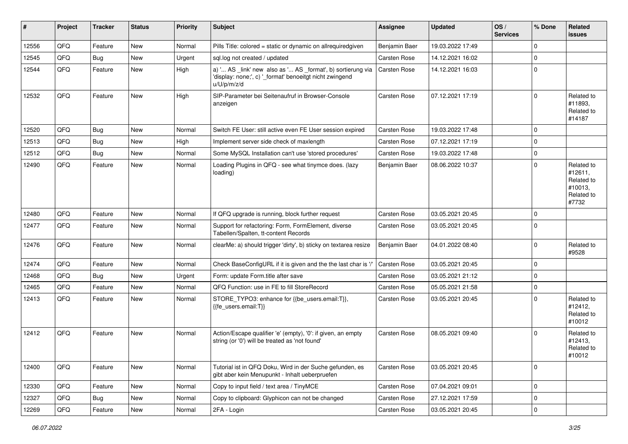| #     | Project | <b>Tracker</b> | <b>Status</b> | <b>Priority</b> | <b>Subject</b>                                                                                                                        | <b>Assignee</b> | <b>Updated</b>   | OS/<br><b>Services</b> | % Done         | Related<br><b>issues</b>                                              |
|-------|---------|----------------|---------------|-----------------|---------------------------------------------------------------------------------------------------------------------------------------|-----------------|------------------|------------------------|----------------|-----------------------------------------------------------------------|
| 12556 | QFQ     | Feature        | New           | Normal          | Pills Title: colored = static or dynamic on allrequiredgiven                                                                          | Benjamin Baer   | 19.03.2022 17:49 |                        | $\Omega$       |                                                                       |
| 12545 | QFQ     | Bug            | New           | Urgent          | sql.log not created / updated                                                                                                         | Carsten Rose    | 14.12.2021 16:02 |                        | $\mathbf 0$    |                                                                       |
| 12544 | QFQ     | Feature        | New           | High            | a) ' AS _link' new also as ' AS _format', b) sortierung via<br>'display: none;', c) '_format' benoeitgt nicht zwingend<br>u/U/p/m/z/d | Carsten Rose    | 14.12.2021 16:03 |                        | $\mathbf 0$    |                                                                       |
| 12532 | QFQ     | Feature        | <b>New</b>    | High            | SIP-Parameter bei Seitenaufruf in Browser-Console<br>anzeigen                                                                         | Carsten Rose    | 07.12.2021 17:19 |                        | $\Omega$       | Related to<br>#11893.<br>Related to<br>#14187                         |
| 12520 | QFQ     | <b>Bug</b>     | <b>New</b>    | Normal          | Switch FE User: still active even FE User session expired                                                                             | Carsten Rose    | 19.03.2022 17:48 |                        | $\mathbf 0$    |                                                                       |
| 12513 | QFQ     | Bug            | <b>New</b>    | High            | Implement server side check of maxlength                                                                                              | Carsten Rose    | 07.12.2021 17:19 |                        | $\Omega$       |                                                                       |
| 12512 | QFQ     | Bug            | New           | Normal          | Some MySQL Installation can't use 'stored procedures'                                                                                 | Carsten Rose    | 19.03.2022 17:48 |                        | $\mathbf 0$    |                                                                       |
| 12490 | QFQ     | Feature        | New           | Normal          | Loading Plugins in QFQ - see what tinymce does. (lazy<br>loading)                                                                     | Benjamin Baer   | 08.06.2022 10:37 |                        | $\mathbf 0$    | Related to<br>#12611,<br>Related to<br>#10013,<br>Related to<br>#7732 |
| 12480 | QFQ     | Feature        | <b>New</b>    | Normal          | If QFQ upgrade is running, block further request                                                                                      | Carsten Rose    | 03.05.2021 20:45 |                        | $\mathbf 0$    |                                                                       |
| 12477 | QFQ     | Feature        | New           | Normal          | Support for refactoring: Form, FormElement, diverse<br>Tabellen/Spalten, tt-content Records                                           | Carsten Rose    | 03.05.2021 20:45 |                        | $\mathbf 0$    |                                                                       |
| 12476 | QFQ     | Feature        | <b>New</b>    | Normal          | clearMe: a) should trigger 'dirty', b) sticky on textarea resize                                                                      | Benjamin Baer   | 04.01.2022 08:40 |                        | $\mathbf 0$    | Related to<br>#9528                                                   |
| 12474 | QFQ     | Feature        | <b>New</b>    | Normal          | Check BaseConfigURL if it is given and the the last char is '/'                                                                       | Carsten Rose    | 03.05.2021 20:45 |                        | $\mathbf 0$    |                                                                       |
| 12468 | QFQ     | <b>Bug</b>     | <b>New</b>    | Urgent          | Form: update Form.title after save                                                                                                    | Carsten Rose    | 03.05.2021 21:12 |                        | $\Omega$       |                                                                       |
| 12465 | QFQ     | Feature        | New           | Normal          | QFQ Function: use in FE to fill StoreRecord                                                                                           | Carsten Rose    | 05.05.2021 21:58 |                        | $\mathbf 0$    |                                                                       |
| 12413 | QFQ     | Feature        | <b>New</b>    | Normal          | STORE TYPO3: enhance for {{be users.email:T}},<br>{{fe users.email:T}}                                                                | Carsten Rose    | 03.05.2021 20:45 |                        | $\Omega$       | Related to<br>#12412,<br>Related to<br>#10012                         |
| 12412 | QFQ     | Feature        | New           | Normal          | Action/Escape qualifier 'e' (empty), '0': if given, an empty<br>string (or '0') will be treated as 'not found'                        | Carsten Rose    | 08.05.2021 09:40 |                        | $\Omega$       | Related to<br>#12413,<br>Related to<br>#10012                         |
| 12400 | QFQ     | Feature        | New           | Normal          | Tutorial ist in QFQ Doku, Wird in der Suche gefunden, es<br>gibt aber kein Menupunkt - Inhalt ueberpruefen                            | Carsten Rose    | 03.05.2021 20:45 |                        | $\mathbf 0$    |                                                                       |
| 12330 | QFQ     | Feature        | New           | Normal          | Copy to input field / text area / TinyMCE                                                                                             | Carsten Rose    | 07.04.2021 09:01 |                        | $\mathbf 0$    |                                                                       |
| 12327 | QFQ     | <b>Bug</b>     | New           | Normal          | Copy to clipboard: Glyphicon can not be changed                                                                                       | Carsten Rose    | 27.12.2021 17:59 |                        | $\pmb{0}$      |                                                                       |
| 12269 | QFQ     | Feature        | New           | Normal          | 2FA - Login                                                                                                                           | Carsten Rose    | 03.05.2021 20:45 |                        | $\overline{0}$ |                                                                       |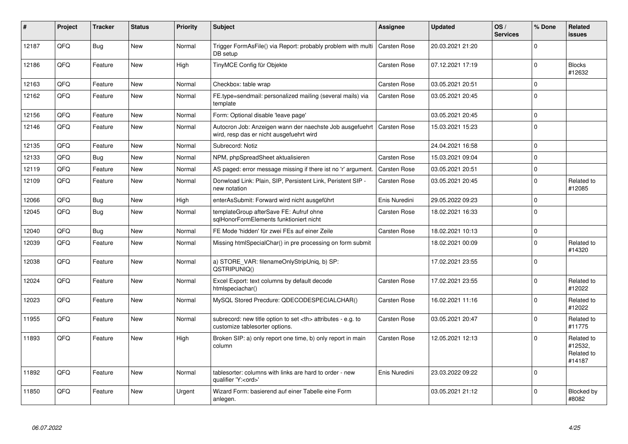| #     | Project | <b>Tracker</b> | <b>Status</b> | <b>Priority</b> | <b>Subject</b>                                                                                       | <b>Assignee</b>                                        | <b>Updated</b>   | OS/<br><b>Services</b> | % Done         | Related<br><b>issues</b>                      |                      |
|-------|---------|----------------|---------------|-----------------|------------------------------------------------------------------------------------------------------|--------------------------------------------------------|------------------|------------------------|----------------|-----------------------------------------------|----------------------|
| 12187 | QFQ     | Bug            | <b>New</b>    | Normal          | Trigger FormAsFile() via Report: probably problem with multi<br>DB setup                             | <b>Carsten Rose</b>                                    | 20.03.2021 21:20 |                        | $\Omega$       |                                               |                      |
| 12186 | QFQ     | Feature        | <b>New</b>    | High            | TinyMCE Config für Objekte                                                                           | Carsten Rose                                           | 07.12.2021 17:19 |                        | 0              | <b>Blocks</b><br>#12632                       |                      |
| 12163 | QFQ     | Feature        | <b>New</b>    | Normal          | Checkbox: table wrap                                                                                 | Carsten Rose                                           | 03.05.2021 20:51 |                        | $\Omega$       |                                               |                      |
| 12162 | QFQ     | Feature        | <b>New</b>    | Normal          | FE.type=sendmail: personalized mailing (several mails) via<br>template                               | <b>Carsten Rose</b>                                    | 03.05.2021 20:45 |                        | $\Omega$       |                                               |                      |
| 12156 | QFQ     | Feature        | <b>New</b>    | Normal          | Form: Optional disable 'leave page'                                                                  |                                                        | 03.05.2021 20:45 |                        | 0              |                                               |                      |
| 12146 | QFQ     | Feature        | <b>New</b>    | Normal          | Autocron Job: Anzeigen wann der naechste Job ausgefuehrt<br>wird, resp das er nicht ausgefuehrt wird | Carsten Rose                                           | 15.03.2021 15:23 |                        | $\Omega$       |                                               |                      |
| 12135 | QFQ     | Feature        | <b>New</b>    | Normal          | Subrecord: Notiz                                                                                     |                                                        | 24.04.2021 16:58 |                        | $\Omega$       |                                               |                      |
| 12133 | QFQ     | <b>Bug</b>     | <b>New</b>    | Normal          | NPM, phpSpreadSheet aktualisieren                                                                    | <b>Carsten Rose</b>                                    | 15.03.2021 09:04 |                        | $\Omega$       |                                               |                      |
| 12119 | QFQ     | Feature        | New           | Normal          | AS paged: error message missing if there ist no 'r' argument.                                        | <b>Carsten Rose</b>                                    | 03.05.2021 20:51 |                        | $\overline{0}$ |                                               |                      |
| 12109 | QFQ     | Feature        | New           | Normal          | Donwload Link: Plain, SIP, Persistent Link, Peristent SIP -<br>new notation                          | Carsten Rose                                           | 03.05.2021 20:45 |                        | $\Omega$       | Related to<br>#12085                          |                      |
| 12066 | QFQ     | Bug            | <b>New</b>    | High            | enterAsSubmit: Forward wird nicht ausgeführt                                                         | Enis Nuredini                                          | 29.05.2022 09:23 |                        | $\Omega$       |                                               |                      |
| 12045 | QFQ     | <b>Bug</b>     | <b>New</b>    | Normal          | templateGroup afterSave FE: Aufruf ohne<br>sglHonorFormElements funktioniert nicht                   | Carsten Rose                                           | 18.02.2021 16:33 |                        | $\Omega$       |                                               |                      |
| 12040 | QFQ     | Bug            | <b>New</b>    | Normal          | FE Mode 'hidden' für zwei FEs auf einer Zeile                                                        | Carsten Rose                                           | 18.02.2021 10:13 |                        | $\Omega$       |                                               |                      |
| 12039 | QFQ     | Feature        | New           | Normal          | Missing htmlSpecialChar() in pre processing on form submit                                           |                                                        | 18.02.2021 00:09 |                        | $\Omega$       | Related to<br>#14320                          |                      |
| 12038 | QFQ     | Feature        | <b>New</b>    | Normal          | a) STORE_VAR: filenameOnlyStripUniq, b) SP:<br>QSTRIPUNIQ()                                          |                                                        | 17.02.2021 23:55 |                        | $\Omega$       |                                               |                      |
| 12024 | QFQ     | Feature        | <b>New</b>    | Normal          | Excel Export: text columns by default decode<br>htmlspeciachar()                                     | <b>Carsten Rose</b>                                    | 17.02.2021 23:55 |                        | 0              | Related to<br>#12022                          |                      |
| 12023 | QFQ     | Feature        | <b>New</b>    | Normal          | MySQL Stored Precdure: QDECODESPECIALCHAR()                                                          | Carsten Rose                                           | 16.02.2021 11:16 |                        | $\Omega$       | Related to<br>#12022                          |                      |
| 11955 | QFQ     | Feature        | <b>New</b>    | Normal          | subrecord: new title option to set <th> attributes - e.g. to<br/>customize tablesorter options.</th> | attributes - e.g. to<br>customize tablesorter options. | Carsten Rose     | 03.05.2021 20:47       |                | $\Omega$                                      | Related to<br>#11775 |
| 11893 | QFQ     | Feature        | New           | High            | Broken SIP: a) only report one time, b) only report in main<br>column                                | Carsten Rose                                           | 12.05.2021 12:13 |                        | $\Omega$       | Related to<br>#12532,<br>Related to<br>#14187 |                      |
| 11892 | QFQ     | Feature        | New           | Normal          | tablesorter: columns with links are hard to order - new<br>qualifier 'Y: <ord>'</ord>                | Enis Nuredini                                          | 23.03.2022 09:22 |                        | $\Omega$       |                                               |                      |
| 11850 | QFQ     | Feature        | <b>New</b>    | Urgent          | Wizard Form: basierend auf einer Tabelle eine Form<br>anlegen.                                       |                                                        | 03.05.2021 21:12 |                        | $\Omega$       | Blocked by<br>#8082                           |                      |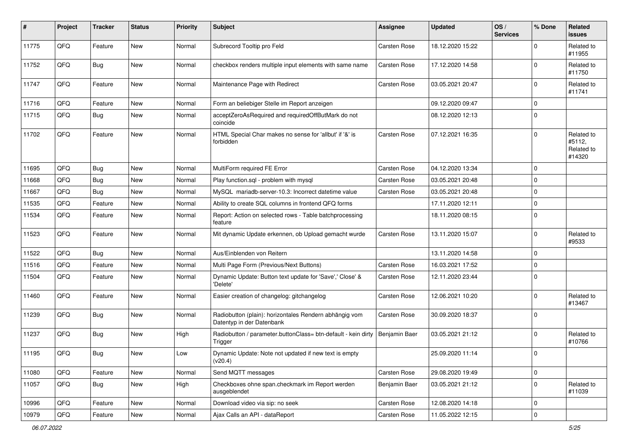| #     | Project | <b>Tracker</b> | <b>Status</b> | <b>Priority</b> | <b>Subject</b>                                                                      | <b>Assignee</b> | <b>Updated</b>   | OS/<br><b>Services</b> | % Done      | Related<br>issues                            |
|-------|---------|----------------|---------------|-----------------|-------------------------------------------------------------------------------------|-----------------|------------------|------------------------|-------------|----------------------------------------------|
| 11775 | QFQ     | Feature        | New           | Normal          | Subrecord Tooltip pro Feld                                                          | Carsten Rose    | 18.12.2020 15:22 |                        | 0           | Related to<br>#11955                         |
| 11752 | QFQ     | Bug            | New           | Normal          | checkbox renders multiple input elements with same name                             | Carsten Rose    | 17.12.2020 14:58 |                        | $\Omega$    | Related to<br>#11750                         |
| 11747 | QFQ     | Feature        | New           | Normal          | Maintenance Page with Redirect                                                      | Carsten Rose    | 03.05.2021 20:47 |                        | $\mathbf 0$ | Related to<br>#11741                         |
| 11716 | QFQ     | Feature        | <b>New</b>    | Normal          | Form an beliebiger Stelle im Report anzeigen                                        |                 | 09.12.2020 09:47 |                        | 0           |                                              |
| 11715 | QFQ     | Bug            | New           | Normal          | acceptZeroAsRequired and requiredOffButMark do not<br>coincide                      |                 | 08.12.2020 12:13 |                        | $\Omega$    |                                              |
| 11702 | QFQ     | Feature        | New           | Normal          | HTML Special Char makes no sense for 'allbut' if '&' is<br>forbidden                | Carsten Rose    | 07.12.2021 16:35 |                        | 0           | Related to<br>#5112,<br>Related to<br>#14320 |
| 11695 | QFQ     | <b>Bug</b>     | <b>New</b>    | Normal          | MultiForm required FE Error                                                         | Carsten Rose    | 04.12.2020 13:34 |                        | $\Omega$    |                                              |
| 11668 | QFQ     | <b>Bug</b>     | <b>New</b>    | Normal          | Play function.sql - problem with mysql                                              | Carsten Rose    | 03.05.2021 20:48 |                        | 0           |                                              |
| 11667 | QFQ     | <b>Bug</b>     | <b>New</b>    | Normal          | MySQL mariadb-server-10.3: Incorrect datetime value                                 | Carsten Rose    | 03.05.2021 20:48 |                        | $\mathbf 0$ |                                              |
| 11535 | QFQ     | Feature        | <b>New</b>    | Normal          | Ability to create SQL columns in frontend QFQ forms                                 |                 | 17.11.2020 12:11 |                        | $\Omega$    |                                              |
| 11534 | QFQ     | Feature        | New           | Normal          | Report: Action on selected rows - Table batchprocessing<br>feature                  |                 | 18.11.2020 08:15 |                        | $\Omega$    |                                              |
| 11523 | QFQ     | Feature        | <b>New</b>    | Normal          | Mit dynamic Update erkennen, ob Upload gemacht wurde                                | Carsten Rose    | 13.11.2020 15:07 |                        | $\Omega$    | Related to<br>#9533                          |
| 11522 | QFQ     | Bug            | <b>New</b>    | Normal          | Aus/Einblenden von Reitern                                                          |                 | 13.11.2020 14:58 |                        | $\Omega$    |                                              |
| 11516 | QFQ     | Feature        | <b>New</b>    | Normal          | Multi Page Form (Previous/Next Buttons)                                             | Carsten Rose    | 16.03.2021 17:52 |                        | $\mathbf 0$ |                                              |
| 11504 | QFQ     | Feature        | New           | Normal          | Dynamic Update: Button text update for 'Save',' Close' &<br>'Delete'                | Carsten Rose    | 12.11.2020 23:44 |                        | $\Omega$    |                                              |
| 11460 | QFQ     | Feature        | <b>New</b>    | Normal          | Easier creation of changelog: gitchangelog                                          | Carsten Rose    | 12.06.2021 10:20 |                        | 0           | Related to<br>#13467                         |
| 11239 | QFQ     | Bug            | <b>New</b>    | Normal          | Radiobutton (plain): horizontales Rendern abhängig vom<br>Datentyp in der Datenbank | Carsten Rose    | 30.09.2020 18:37 |                        | $\Omega$    |                                              |
| 11237 | QFQ     | Bug            | <b>New</b>    | High            | Radiobutton / parameter.buttonClass= btn-default - kein dirty<br>Trigger            | Benjamin Baer   | 03.05.2021 21:12 |                        | 0           | Related to<br>#10766                         |
| 11195 | QFQ     | Bug            | <b>New</b>    | Low             | Dynamic Update: Note not updated if new text is empty<br>(v20.4)                    |                 | 25.09.2020 11:14 |                        | $\mathbf 0$ |                                              |
| 11080 | QFQ     | Feature        | New           | Normal          | Send MQTT messages                                                                  | Carsten Rose    | 29.08.2020 19:49 |                        | $\pmb{0}$   |                                              |
| 11057 | QFQ     | <b>Bug</b>     | New           | High            | Checkboxes ohne span.checkmark im Report werden<br>ausgeblendet                     | Benjamin Baer   | 03.05.2021 21:12 |                        | $\pmb{0}$   | Related to<br>#11039                         |
| 10996 | QFQ     | Feature        | New           | Normal          | Download video via sip: no seek                                                     | Carsten Rose    | 12.08.2020 14:18 |                        | $\pmb{0}$   |                                              |
| 10979 | QFQ     | Feature        | New           | Normal          | Ajax Calls an API - dataReport                                                      | Carsten Rose    | 11.05.2022 12:15 |                        | $\pmb{0}$   |                                              |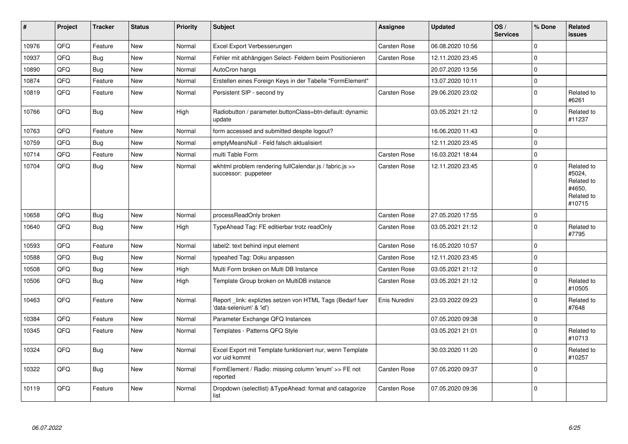| $\vert$ # | Project | <b>Tracker</b> | <b>Status</b> | <b>Priority</b> | <b>Subject</b>                                                                      | Assignee      | <b>Updated</b>   | OS/<br><b>Services</b> | % Done      | Related<br>issues                                                    |
|-----------|---------|----------------|---------------|-----------------|-------------------------------------------------------------------------------------|---------------|------------------|------------------------|-------------|----------------------------------------------------------------------|
| 10976     | QFQ     | Feature        | New           | Normal          | Excel Export Verbesserungen                                                         | Carsten Rose  | 06.08.2020 10:56 |                        | $\Omega$    |                                                                      |
| 10937     | QFQ     | Bug            | New           | Normal          | Fehler mit abhängigen Select- Feldern beim Positionieren                            | Carsten Rose  | 12.11.2020 23:45 |                        | $\mathbf 0$ |                                                                      |
| 10890     | QFQ     | Bug            | <b>New</b>    | Normal          | AutoCron hangs                                                                      |               | 20.07.2020 13:56 |                        | $\Omega$    |                                                                      |
| 10874     | QFQ     | Feature        | <b>New</b>    | Normal          | Erstellen eines Foreign Keys in der Tabelle "FormElement"                           |               | 13.07.2020 10:11 |                        | $\pmb{0}$   |                                                                      |
| 10819     | QFQ     | Feature        | New           | Normal          | Persistent SIP - second try                                                         | Carsten Rose  | 29.06.2020 23:02 |                        | $\mathbf 0$ | Related to<br>#6261                                                  |
| 10766     | QFQ     | Bug            | <b>New</b>    | High            | Radiobutton / parameter.buttonClass=btn-default: dynamic<br>update                  |               | 03.05.2021 21:12 |                        | $\Omega$    | Related to<br>#11237                                                 |
| 10763     | QFQ     | Feature        | <b>New</b>    | Normal          | form accessed and submitted despite logout?                                         |               | 16.06.2020 11:43 |                        | $\Omega$    |                                                                      |
| 10759     | QFQ     | Bug            | <b>New</b>    | Normal          | emptyMeansNull - Feld falsch aktualisiert                                           |               | 12.11.2020 23:45 |                        | $\mathbf 0$ |                                                                      |
| 10714     | QFQ     | Feature        | New           | Normal          | multi Table Form                                                                    | Carsten Rose  | 16.03.2021 18:44 |                        | $\mathbf 0$ |                                                                      |
| 10704     | QFQ     | Bug            | <b>New</b>    | Normal          | wkhtml problem rendering fullCalendar.js / fabric.js >><br>successor: puppeteer     | Carsten Rose  | 12.11.2020 23:45 |                        | $\mathbf 0$ | Related to<br>#5024,<br>Related to<br>#4650.<br>Related to<br>#10715 |
| 10658     | QFQ     | Bug            | <b>New</b>    | Normal          | processReadOnly broken                                                              | Carsten Rose  | 27.05.2020 17:55 |                        | $\mathbf 0$ |                                                                      |
| 10640     | QFQ     | <b>Bug</b>     | <b>New</b>    | High            | TypeAhead Tag: FE editierbar trotz readOnly                                         | Carsten Rose  | 03.05.2021 21:12 |                        | $\mathbf 0$ | Related to<br>#7795                                                  |
| 10593     | QFQ     | Feature        | <b>New</b>    | Normal          | label2: text behind input element                                                   | Carsten Rose  | 16.05.2020 10:57 |                        | $\Omega$    |                                                                      |
| 10588     | QFQ     | Bug            | New           | Normal          | typeahed Tag: Doku anpassen                                                         | Carsten Rose  | 12.11.2020 23:45 |                        | $\Omega$    |                                                                      |
| 10508     | QFQ     | Bug            | New           | High            | Multi Form broken on Multi DB Instance                                              | Carsten Rose  | 03.05.2021 21:12 |                        | $\Omega$    |                                                                      |
| 10506     | QFQ     | Bug            | New           | High            | Template Group broken on MultiDB instance                                           | Carsten Rose  | 03.05.2021 21:12 |                        | $\mathbf 0$ | Related to<br>#10505                                                 |
| 10463     | QFQ     | Feature        | <b>New</b>    | Normal          | Report_link: expliztes setzen von HTML Tags (Bedarf fuer<br>'data-selenium' & 'id') | Enis Nuredini | 23.03.2022 09:23 |                        | $\Omega$    | Related to<br>#7648                                                  |
| 10384     | QFQ     | Feature        | <b>New</b>    | Normal          | Parameter Exchange QFQ Instances                                                    |               | 07.05.2020 09:38 |                        | $\mathbf 0$ |                                                                      |
| 10345     | QFQ     | Feature        | New           | Normal          | Templates - Patterns QFQ Style                                                      |               | 03.05.2021 21:01 |                        | $\mathbf 0$ | Related to<br>#10713                                                 |
| 10324     | QFQ     | Bug            | <b>New</b>    | Normal          | Excel Export mit Template funktioniert nur, wenn Template<br>vor uid kommt          |               | 30.03.2020 11:20 |                        | $\mathbf 0$ | Related to<br>#10257                                                 |
| 10322     | QFQ     | Bug            | <b>New</b>    | Normal          | FormElement / Radio: missing column 'enum' >> FE not<br>reported                    | Carsten Rose  | 07.05.2020 09:37 |                        | $\mathbf 0$ |                                                                      |
| 10119     | QFQ     | Feature        | <b>New</b>    | Normal          | Dropdown (selectlist) & Type Ahead: format and catagorize<br>list                   | Carsten Rose  | 07.05.2020 09:36 |                        | $\mathbf 0$ |                                                                      |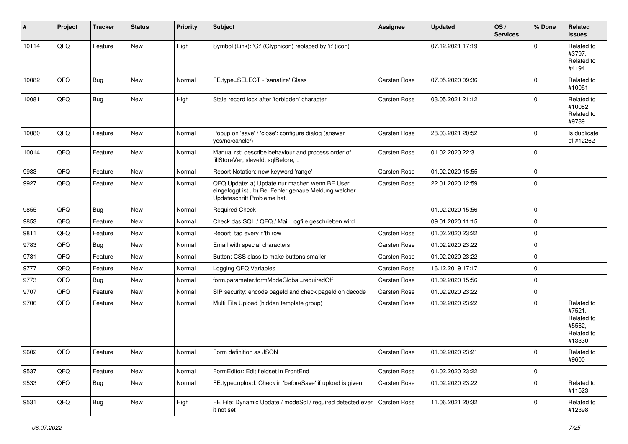| $\vert$ # | Project | <b>Tracker</b> | <b>Status</b> | <b>Priority</b> | <b>Subject</b>                                                                                                                        | <b>Assignee</b>     | <b>Updated</b>   | OS/<br><b>Services</b> | % Done      | Related<br><b>issues</b>                                             |
|-----------|---------|----------------|---------------|-----------------|---------------------------------------------------------------------------------------------------------------------------------------|---------------------|------------------|------------------------|-------------|----------------------------------------------------------------------|
| 10114     | QFQ     | Feature        | <b>New</b>    | High            | Symbol (Link): 'G:' (Glyphicon) replaced by 'i:' (icon)                                                                               |                     | 07.12.2021 17:19 |                        | $\Omega$    | Related to<br>#3797,<br>Related to<br>#4194                          |
| 10082     | QFQ     | Bug            | <b>New</b>    | Normal          | FE.type=SELECT - 'sanatize' Class                                                                                                     | Carsten Rose        | 07.05.2020 09:36 |                        | 0           | Related to<br>#10081                                                 |
| 10081     | QFQ     | Bug            | New           | High            | Stale record lock after 'forbidden' character                                                                                         | Carsten Rose        | 03.05.2021 21:12 |                        | 0           | Related to<br>#10082,<br>Related to<br>#9789                         |
| 10080     | QFQ     | Feature        | New           | Normal          | Popup on 'save' / 'close': configure dialog (answer<br>yes/no/cancle/)                                                                | Carsten Rose        | 28.03.2021 20:52 |                        | $\Omega$    | Is duplicate<br>of #12262                                            |
| 10014     | QFQ     | Feature        | New           | Normal          | Manual.rst: describe behaviour and process order of<br>fillStoreVar, slaveId, sqlBefore,                                              | Carsten Rose        | 01.02.2020 22:31 |                        | $\mathbf 0$ |                                                                      |
| 9983      | QFQ     | Feature        | New           | Normal          | Report Notation: new keyword 'range'                                                                                                  | Carsten Rose        | 01.02.2020 15:55 |                        | 0           |                                                                      |
| 9927      | QFQ     | Feature        | New           | Normal          | QFQ Update: a) Update nur machen wenn BE User<br>eingeloggt ist., b) Bei Fehler genaue Meldung welcher<br>Updateschritt Probleme hat. | Carsten Rose        | 22.01.2020 12:59 |                        | 0           |                                                                      |
| 9855      | QFQ     | Bug            | <b>New</b>    | Normal          | <b>Required Check</b>                                                                                                                 |                     | 01.02.2020 15:56 |                        | $\Omega$    |                                                                      |
| 9853      | QFQ     | Feature        | New           | Normal          | Check das SQL / QFQ / Mail Logfile geschrieben wird                                                                                   |                     | 09.01.2020 11:15 |                        | $\Omega$    |                                                                      |
| 9811      | QFQ     | Feature        | New           | Normal          | Report: tag every n'th row                                                                                                            | Carsten Rose        | 01.02.2020 23:22 |                        | 0           |                                                                      |
| 9783      | QFQ     | Bug            | New           | Normal          | Email with special characters                                                                                                         | Carsten Rose        | 01.02.2020 23:22 |                        | $\Omega$    |                                                                      |
| 9781      | QFQ     | Feature        | New           | Normal          | Button: CSS class to make buttons smaller                                                                                             | Carsten Rose        | 01.02.2020 23:22 |                        | $\Omega$    |                                                                      |
| 9777      | QFQ     | Feature        | New           | Normal          | Logging QFQ Variables                                                                                                                 | Carsten Rose        | 16.12.2019 17:17 |                        | $\Omega$    |                                                                      |
| 9773      | QFQ     | <b>Bug</b>     | New           | Normal          | form.parameter.formModeGlobal=requiredOff                                                                                             | Carsten Rose        | 01.02.2020 15:56 |                        | 0           |                                                                      |
| 9707      | QFQ     | Feature        | New           | Normal          | SIP security: encode pageld and check pageld on decode                                                                                | Carsten Rose        | 01.02.2020 23:22 |                        | $\Omega$    |                                                                      |
| 9706      | QFQ     | Feature        | New           | Normal          | Multi File Upload (hidden template group)                                                                                             | Carsten Rose        | 01.02.2020 23:22 |                        | 0           | Related to<br>#7521,<br>Related to<br>#5562,<br>Related to<br>#13330 |
| 9602      | QFQ     | Feature        | New           | Normal          | Form definition as JSON                                                                                                               | <b>Carsten Rose</b> | 01.02.2020 23:21 |                        | 0           | Related to<br>#9600                                                  |
| 9537      | QFQ     | Feature        | New           | Normal          | FormEditor: Edit fieldset in FrontEnd                                                                                                 | Carsten Rose        | 01.02.2020 23:22 |                        | 0           |                                                                      |
| 9533      | QFQ     | <b>Bug</b>     | New           | Normal          | FE.type=upload: Check in 'beforeSave' if upload is given                                                                              | Carsten Rose        | 01.02.2020 23:22 |                        | 0           | Related to<br>#11523                                                 |
| 9531      | QFQ     | Bug            | New           | High            | FE File: Dynamic Update / modeSql / required detected even<br>it not set                                                              | Carsten Rose        | 11.06.2021 20:32 |                        | 0           | Related to<br>#12398                                                 |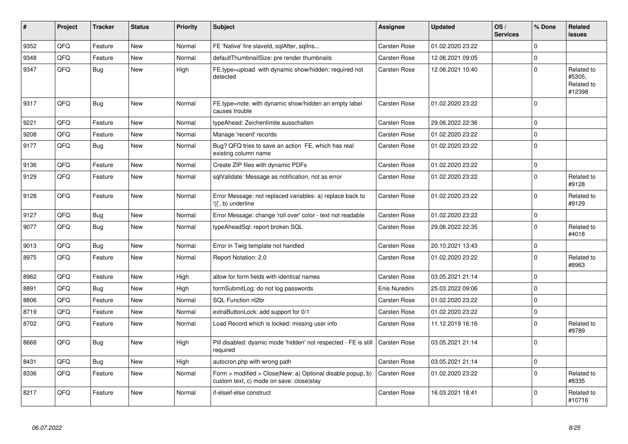| #    | Project | <b>Tracker</b> | <b>Status</b> | <b>Priority</b> | <b>Subject</b>                                                                                         | <b>Assignee</b> | <b>Updated</b>   | OS/<br><b>Services</b> | % Done      | <b>Related</b><br>issues                     |
|------|---------|----------------|---------------|-----------------|--------------------------------------------------------------------------------------------------------|-----------------|------------------|------------------------|-------------|----------------------------------------------|
| 9352 | QFQ     | Feature        | <b>New</b>    | Normal          | FE 'Native' fire slaveld, sqlAfter, sqlIns                                                             | Carsten Rose    | 01.02.2020 23:22 |                        | 0           |                                              |
| 9348 | QFQ     | Feature        | New           | Normal          | defaultThumbnailSize: pre render thumbnails                                                            | Carsten Rose    | 12.06.2021 09:05 |                        | $\Omega$    |                                              |
| 9347 | QFQ     | <b>Bug</b>     | <b>New</b>    | High            | FE.type=upload with dynamic show/hidden: required not<br>detected                                      | Carsten Rose    | 12.06.2021 10:40 |                        | $\mathbf 0$ | Related to<br>#5305.<br>Related to<br>#12398 |
| 9317 | QFQ     | Bug            | <b>New</b>    | Normal          | FE.type=note: with dynamic show/hidden an empty label<br>causes trouble                                | Carsten Rose    | 01.02.2020 23:22 |                        | $\Omega$    |                                              |
| 9221 | QFQ     | Feature        | <b>New</b>    | Normal          | typeAhead: Zeichenlimite ausschalten                                                                   | Carsten Rose    | 29.06.2022 22:36 |                        | $\mathbf 0$ |                                              |
| 9208 | QFQ     | Feature        | New           | Normal          | Manage 'recent' records                                                                                | Carsten Rose    | 01.02.2020 23:22 |                        | $\mathsf 0$ |                                              |
| 9177 | QFQ     | Bug            | <b>New</b>    | Normal          | Bug? QFQ tries to save an action FE, which has real<br>existing column name                            | Carsten Rose    | 01.02.2020 23:22 |                        | 0           |                                              |
| 9136 | QFQ     | Feature        | <b>New</b>    | Normal          | Create ZIP files with dynamic PDFs                                                                     | Carsten Rose    | 01.02.2020 23:22 |                        | 0           |                                              |
| 9129 | QFQ     | Feature        | <b>New</b>    | Normal          | sqlValidate: Message as notification, not as error                                                     | Carsten Rose    | 01.02.2020 23:22 |                        | $\mathbf 0$ | Related to<br>#9128                          |
| 9128 | QFQ     | Feature        | <b>New</b>    | Normal          | Error Message: not replaced variables- a) replace back to<br>'{{', b) underline                        | Carsten Rose    | 01.02.2020 23:22 |                        | 0           | Related to<br>#9129                          |
| 9127 | QFQ     | <b>Bug</b>     | <b>New</b>    | Normal          | Error Message: change 'roll over' color - text not readable                                            | Carsten Rose    | 01.02.2020 23:22 |                        | $\mathbf 0$ |                                              |
| 9077 | QFQ     | Bug            | <b>New</b>    | Normal          | typeAheadSql: report broken SQL                                                                        | Carsten Rose    | 29.06.2022 22:35 |                        | 0           | Related to<br>#4018                          |
| 9013 | QFQ     | Bug            | <b>New</b>    | Normal          | Error in Twig template not handled                                                                     | Carsten Rose    | 20.10.2021 13:43 |                        | $\mathbf 0$ |                                              |
| 8975 | QFQ     | Feature        | <b>New</b>    | Normal          | Report Notation: 2.0                                                                                   | Carsten Rose    | 01.02.2020 23:22 |                        | 0           | Related to<br>#8963                          |
| 8962 | QFQ     | Feature        | <b>New</b>    | High            | allow for form fields with identical names                                                             | Carsten Rose    | 03.05.2021 21:14 |                        | $\mathbf 0$ |                                              |
| 8891 | QFQ     | <b>Bug</b>     | <b>New</b>    | High            | formSubmitLog: do not log passwords                                                                    | Enis Nuredini   | 25.03.2022 09:06 |                        | 0           |                                              |
| 8806 | QFQ     | Feature        | <b>New</b>    | Normal          | SQL Function nl2br                                                                                     | Carsten Rose    | 01.02.2020 23:22 |                        | $\mathbf 0$ |                                              |
| 8719 | QFQ     | Feature        | <b>New</b>    | Normal          | extraButtonLock: add support for 0/1                                                                   | Carsten Rose    | 01.02.2020 23:22 |                        | 0           |                                              |
| 8702 | QFQ     | Feature        | <b>New</b>    | Normal          | Load Record which is locked: missing user info                                                         | Carsten Rose    | 11.12.2019 16:16 |                        | $\Omega$    | Related to<br>#9789                          |
| 8668 | QFQ     | Bug            | <b>New</b>    | High            | Pill disabled: dyamic mode 'hidden' not respected - FE is still<br>required                            | Carsten Rose    | 03.05.2021 21:14 |                        | 0           |                                              |
| 8431 | QFQ     | Bug            | <b>New</b>    | High            | autocron.php with wrong path                                                                           | Carsten Rose    | 03.05.2021 21:14 |                        | 0           |                                              |
| 8336 | QFQ     | Feature        | <b>New</b>    | Normal          | Form > modified > Close New: a) Optional disable popup, b)<br>custom text, c) mode on save: close stay | Carsten Rose    | 01.02.2020 23:22 |                        | 0           | Related to<br>#8335                          |
| 8217 | QFQ     | Feature        | <b>New</b>    | Normal          | if-elseif-else construct                                                                               | Carsten Rose    | 16.03.2021 18:41 |                        | $\Omega$    | Related to<br>#10716                         |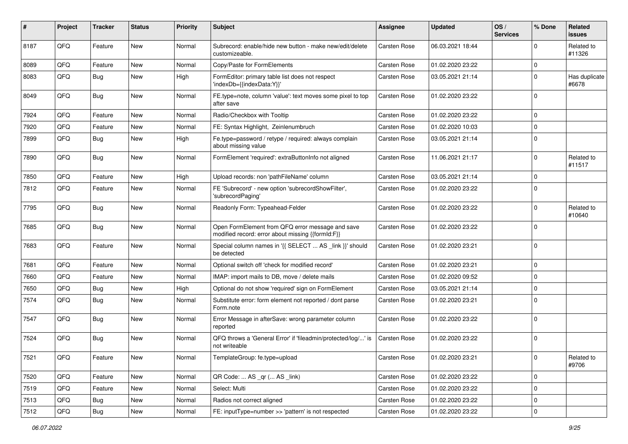| #    | Project | <b>Tracker</b> | <b>Status</b> | <b>Priority</b> | <b>Subject</b>                                                                                        | Assignee     | <b>Updated</b>   | OS/<br><b>Services</b> | % Done      | Related<br><b>issues</b> |
|------|---------|----------------|---------------|-----------------|-------------------------------------------------------------------------------------------------------|--------------|------------------|------------------------|-------------|--------------------------|
| 8187 | QFQ     | Feature        | <b>New</b>    | Normal          | Subrecord: enable/hide new button - make new/edit/delete<br>customizeable.                            | Carsten Rose | 06.03.2021 18:44 |                        | $\mathbf 0$ | Related to<br>#11326     |
| 8089 | QFQ     | Feature        | <b>New</b>    | Normal          | Copy/Paste for FormElements                                                                           | Carsten Rose | 01.02.2020 23:22 |                        | $\mathbf 0$ |                          |
| 8083 | QFQ     | Bug            | New           | High            | FormEditor: primary table list does not respect<br>'indexDb={{indexData:Y}}'                          | Carsten Rose | 03.05.2021 21:14 |                        | $\mathbf 0$ | Has duplicate<br>#6678   |
| 8049 | QFQ     | Bug            | <b>New</b>    | Normal          | FE.type=note, column 'value': text moves some pixel to top<br>after save                              | Carsten Rose | 01.02.2020 23:22 |                        | $\mathbf 0$ |                          |
| 7924 | QFQ     | Feature        | <b>New</b>    | Normal          | Radio/Checkbox with Tooltip                                                                           | Carsten Rose | 01.02.2020 23:22 |                        | $\mathbf 0$ |                          |
| 7920 | QFQ     | Feature        | <b>New</b>    | Normal          | FE: Syntax Highlight, Zeinlenumbruch                                                                  | Carsten Rose | 01.02.2020 10:03 |                        | $\mathbf 0$ |                          |
| 7899 | QFQ     | Bug            | <b>New</b>    | High            | Fe.type=password / retype / required: always complain<br>about missing value                          | Carsten Rose | 03.05.2021 21:14 |                        | $\mathbf 0$ |                          |
| 7890 | QFQ     | Bug            | <b>New</b>    | Normal          | FormElement 'required': extraButtonInfo not aligned                                                   | Carsten Rose | 11.06.2021 21:17 |                        | $\mathbf 0$ | Related to<br>#11517     |
| 7850 | QFQ     | Feature        | <b>New</b>    | High            | Upload records: non 'pathFileName' column                                                             | Carsten Rose | 03.05.2021 21:14 |                        | $\mathbf 0$ |                          |
| 7812 | QFQ     | Feature        | <b>New</b>    | Normal          | FE 'Subrecord' - new option 'subrecordShowFilter',<br>'subrecordPaging'                               | Carsten Rose | 01.02.2020 23:22 |                        | $\mathbf 0$ |                          |
| 7795 | QFQ     | Bug            | <b>New</b>    | Normal          | Readonly Form: Typeahead-Felder                                                                       | Carsten Rose | 01.02.2020 23:22 |                        | $\mathbf 0$ | Related to<br>#10640     |
| 7685 | QFQ     | Bug            | <b>New</b>    | Normal          | Open FormElement from QFQ error message and save<br>modified record: error about missing {{formId:F}} | Carsten Rose | 01.02.2020 23:22 |                        | $\mathbf 0$ |                          |
| 7683 | QFQ     | Feature        | New           | Normal          | Special column names in '{{ SELECT  AS _link }}' should<br>be detected                                | Carsten Rose | 01.02.2020 23:21 |                        | $\mathbf 0$ |                          |
| 7681 | QFQ     | Feature        | <b>New</b>    | Normal          | Optional switch off 'check for modified record'                                                       | Carsten Rose | 01.02.2020 23:21 |                        | $\mathbf 0$ |                          |
| 7660 | QFQ     | Feature        | <b>New</b>    | Normal          | IMAP: import mails to DB, move / delete mails                                                         | Carsten Rose | 01.02.2020 09:52 |                        | $\mathbf 0$ |                          |
| 7650 | QFQ     | <b>Bug</b>     | <b>New</b>    | High            | Optional do not show 'required' sign on FormElement                                                   | Carsten Rose | 03.05.2021 21:14 |                        | $\mathbf 0$ |                          |
| 7574 | QFQ     | Bug            | New           | Normal          | Substitute error: form element not reported / dont parse<br>Form.note                                 | Carsten Rose | 01.02.2020 23:21 |                        | $\mathbf 0$ |                          |
| 7547 | QFQ     | Bug            | <b>New</b>    | Normal          | Error Message in afterSave: wrong parameter column<br>reported                                        | Carsten Rose | 01.02.2020 23:22 |                        | $\mathbf 0$ |                          |
| 7524 | QFQ     | Bug            | <b>New</b>    | Normal          | QFQ throws a 'General Error' if 'fileadmin/protected/log/' is<br>not writeable                        | Carsten Rose | 01.02.2020 23:22 |                        | $\mathbf 0$ |                          |
| 7521 | QFQ     | Feature        | New           | Normal          | TemplateGroup: fe.type=upload                                                                         | Carsten Rose | 01.02.2020 23:21 |                        | 0           | Related to<br>#9706      |
| 7520 | QFQ     | Feature        | New           | Normal          | QR Code:  AS _qr ( AS _link)                                                                          | Carsten Rose | 01.02.2020 23:22 |                        | $\mathbf 0$ |                          |
| 7519 | QFQ     | Feature        | New           | Normal          | Select: Multi                                                                                         | Carsten Rose | 01.02.2020 23:22 |                        | $\mathbf 0$ |                          |
| 7513 | QFQ     | Bug            | New           | Normal          | Radios not correct aligned                                                                            | Carsten Rose | 01.02.2020 23:22 |                        | $\pmb{0}$   |                          |
| 7512 | QFQ     | Bug            | New           | Normal          | FE: inputType=number >> 'pattern' is not respected                                                    | Carsten Rose | 01.02.2020 23:22 |                        | $\mathbf 0$ |                          |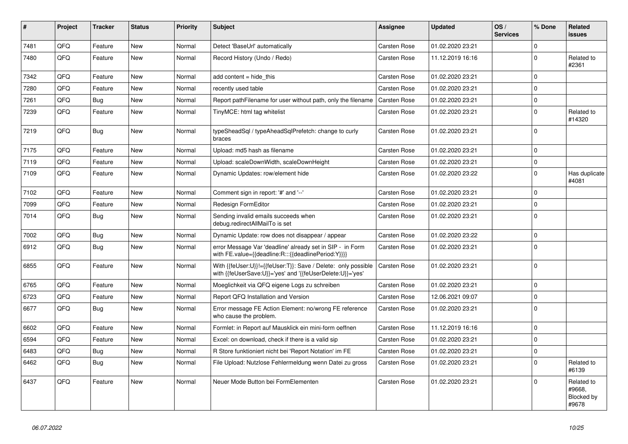| #    | Project | <b>Tracker</b> | <b>Status</b> | <b>Priority</b> | <b>Subject</b>                                                                                                             | Assignee            | <b>Updated</b>   | OS/<br><b>Services</b> | % Done      | Related<br><b>issues</b>                    |
|------|---------|----------------|---------------|-----------------|----------------------------------------------------------------------------------------------------------------------------|---------------------|------------------|------------------------|-------------|---------------------------------------------|
| 7481 | QFQ     | Feature        | <b>New</b>    | Normal          | Detect 'BaseUrl' automatically                                                                                             | <b>Carsten Rose</b> | 01.02.2020 23:21 |                        | $\Omega$    |                                             |
| 7480 | QFQ     | Feature        | <b>New</b>    | Normal          | Record History (Undo / Redo)                                                                                               | Carsten Rose        | 11.12.2019 16:16 |                        | $\Omega$    | Related to<br>#2361                         |
| 7342 | QFQ     | Feature        | <b>New</b>    | Normal          | add content = hide this                                                                                                    | Carsten Rose        | 01.02.2020 23:21 |                        | $\mathbf 0$ |                                             |
| 7280 | QFQ     | Feature        | <b>New</b>    | Normal          | recently used table                                                                                                        | <b>Carsten Rose</b> | 01.02.2020 23:21 |                        | $\mathbf 0$ |                                             |
| 7261 | QFQ     | Bug            | <b>New</b>    | Normal          | Report pathFilename for user without path, only the filename                                                               | <b>Carsten Rose</b> | 01.02.2020 23:21 |                        | $\mathbf 0$ |                                             |
| 7239 | QFQ     | Feature        | New           | Normal          | TinyMCE: html tag whitelist                                                                                                | Carsten Rose        | 01.02.2020 23:21 |                        | $\mathbf 0$ | Related to<br>#14320                        |
| 7219 | QFQ     | <b>Bug</b>     | <b>New</b>    | Normal          | typeSheadSql / typeAheadSqlPrefetch: change to curly<br>braces                                                             | Carsten Rose        | 01.02.2020 23:21 |                        | $\mathbf 0$ |                                             |
| 7175 | QFQ     | Feature        | <b>New</b>    | Normal          | Upload: md5 hash as filename                                                                                               | <b>Carsten Rose</b> | 01.02.2020 23:21 |                        | $\mathbf 0$ |                                             |
| 7119 | QFQ     | Feature        | <b>New</b>    | Normal          | Upload: scaleDownWidth, scaleDownHeight                                                                                    | Carsten Rose        | 01.02.2020 23:21 |                        | $\pmb{0}$   |                                             |
| 7109 | QFQ     | Feature        | <b>New</b>    | Normal          | Dynamic Updates: row/element hide                                                                                          | Carsten Rose        | 01.02.2020 23:22 |                        | $\pmb{0}$   | Has duplicate<br>#4081                      |
| 7102 | QFQ     | Feature        | <b>New</b>    | Normal          | Comment sign in report: '#' and '--'                                                                                       | <b>Carsten Rose</b> | 01.02.2020 23:21 |                        | $\mathbf 0$ |                                             |
| 7099 | QFQ     | Feature        | <b>New</b>    | Normal          | Redesign FormEditor                                                                                                        | <b>Carsten Rose</b> | 01.02.2020 23:21 |                        | $\mathbf 0$ |                                             |
| 7014 | QFQ     | <b>Bug</b>     | <b>New</b>    | Normal          | Sending invalid emails succeeds when<br>debug.redirectAllMailTo is set                                                     | <b>Carsten Rose</b> | 01.02.2020 23:21 |                        | $\mathbf 0$ |                                             |
| 7002 | QFQ     | <b>Bug</b>     | <b>New</b>    | Normal          | Dynamic Update: row does not disappear / appear                                                                            | Carsten Rose        | 01.02.2020 23:22 |                        | $\mathbf 0$ |                                             |
| 6912 | QFQ     | Bug            | <b>New</b>    | Normal          | error Message Var 'deadline' already set in SIP - in Form<br>with FE.value={{deadline:R:::{{deadlinePeriod:Y}}}}           | Carsten Rose        | 01.02.2020 23:21 |                        | $\mathbf 0$ |                                             |
| 6855 | QFQ     | Feature        | <b>New</b>    | Normal          | With {{feUser:U}}!={{feUser:T}}: Save / Delete: only possible<br>with {{feUserSave:U}}='yes' and '{{feUserDelete:U}}='yes' | Carsten Rose        | 01.02.2020 23:21 |                        | $\mathbf 0$ |                                             |
| 6765 | QFQ     | Feature        | <b>New</b>    | Normal          | Moeglichkeit via QFQ eigene Logs zu schreiben                                                                              | Carsten Rose        | 01.02.2020 23:21 |                        | $\mathbf 0$ |                                             |
| 6723 | QFQ     | Feature        | New           | Normal          | Report QFQ Installation and Version                                                                                        | Carsten Rose        | 12.06.2021 09:07 |                        | $\mathbf 0$ |                                             |
| 6677 | QFQ     | Bug            | <b>New</b>    | Normal          | Error message FE Action Element: no/wrong FE reference<br>who cause the problem.                                           | Carsten Rose        | 01.02.2020 23:21 |                        | $\mathbf 0$ |                                             |
| 6602 | QFQ     | Feature        | New           | Normal          | Formlet: in Report auf Mausklick ein mini-form oeffnen                                                                     | <b>Carsten Rose</b> | 11.12.2019 16:16 |                        | $\Omega$    |                                             |
| 6594 | QFQ     | Feature        | <b>New</b>    | Normal          | Excel: on download, check if there is a valid sip                                                                          | Carsten Rose        | 01.02.2020 23:21 |                        | $\mathbf 0$ |                                             |
| 6483 | QFQ     | <b>Bug</b>     | <b>New</b>    | Normal          | R Store funktioniert nicht bei 'Report Notation' im FE                                                                     | Carsten Rose        | 01.02.2020 23:21 |                        | $\mathbf 0$ |                                             |
| 6462 | QFQ     | <b>Bug</b>     | <b>New</b>    | Normal          | File Upload: Nutzlose Fehlermeldung wenn Datei zu gross                                                                    | Carsten Rose        | 01.02.2020 23:21 |                        | $\mathbf 0$ | Related to<br>#6139                         |
| 6437 | QFQ     | Feature        | New           | Normal          | Neuer Mode Button bei FormElementen                                                                                        | Carsten Rose        | 01.02.2020 23:21 |                        | $\pmb{0}$   | Related to<br>#9668,<br>Blocked by<br>#9678 |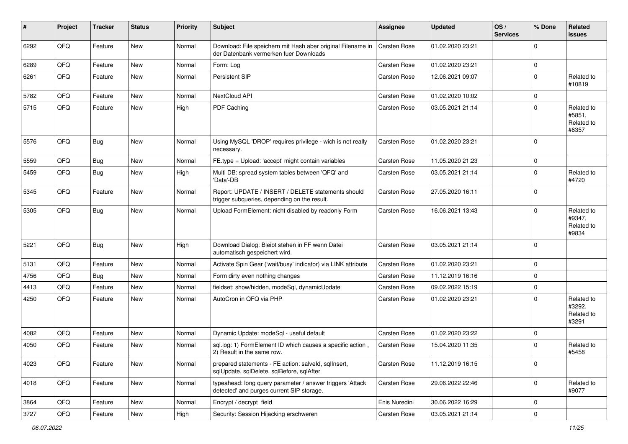| #    | Project | <b>Tracker</b> | <b>Status</b> | <b>Priority</b> | <b>Subject</b>                                                                                         | <b>Assignee</b> | <b>Updated</b>   | OS/<br><b>Services</b> | % Done      | <b>Related</b><br>issues                    |
|------|---------|----------------|---------------|-----------------|--------------------------------------------------------------------------------------------------------|-----------------|------------------|------------------------|-------------|---------------------------------------------|
| 6292 | QFQ     | Feature        | New           | Normal          | Download: File speichern mit Hash aber original Filename in<br>der Datenbank vermerken fuer Downloads  | Carsten Rose    | 01.02.2020 23:21 |                        | $\Omega$    |                                             |
| 6289 | QFQ     | Feature        | <b>New</b>    | Normal          | Form: Log                                                                                              | Carsten Rose    | 01.02.2020 23:21 |                        | $\mathbf 0$ |                                             |
| 6261 | QFQ     | Feature        | New           | Normal          | Persistent SIP                                                                                         | Carsten Rose    | 12.06.2021 09:07 |                        | $\mathbf 0$ | Related to<br>#10819                        |
| 5782 | QFQ     | Feature        | <b>New</b>    | Normal          | NextCloud API                                                                                          | Carsten Rose    | 01.02.2020 10:02 |                        | $\mathbf 0$ |                                             |
| 5715 | QFQ     | Feature        | New           | High            | PDF Caching                                                                                            | Carsten Rose    | 03.05.2021 21:14 |                        | $\mathbf 0$ | Related to<br>#5851,<br>Related to<br>#6357 |
| 5576 | QFQ     | Bug            | <b>New</b>    | Normal          | Using MySQL 'DROP' requires privilege - wich is not really<br>necessary.                               | Carsten Rose    | 01.02.2020 23:21 |                        | $\Omega$    |                                             |
| 5559 | QFQ     | <b>Bug</b>     | New           | Normal          | FE.type = Upload: 'accept' might contain variables                                                     | Carsten Rose    | 11.05.2020 21:23 |                        | $\mathbf 0$ |                                             |
| 5459 | QFQ     | Bug            | <b>New</b>    | High            | Multi DB: spread system tables between 'QFQ' and<br>'Data'-DB                                          | Carsten Rose    | 03.05.2021 21:14 |                        | $\mathbf 0$ | Related to<br>#4720                         |
| 5345 | QFQ     | Feature        | New           | Normal          | Report: UPDATE / INSERT / DELETE statements should<br>trigger subqueries, depending on the result.     | Carsten Rose    | 27.05.2020 16:11 |                        | $\mathbf 0$ |                                             |
| 5305 | QFQ     | <b>Bug</b>     | New           | Normal          | Upload FormElement: nicht disabled by readonly Form                                                    | Carsten Rose    | 16.06.2021 13:43 |                        | $\Omega$    | Related to<br>#9347,<br>Related to<br>#9834 |
| 5221 | QFQ     | Bug            | <b>New</b>    | High            | Download Dialog: Bleibt stehen in FF wenn Datei<br>automatisch gespeichert wird.                       | Carsten Rose    | 03.05.2021 21:14 |                        | $\Omega$    |                                             |
| 5131 | QFQ     | Feature        | New           | Normal          | Activate Spin Gear ('wait/busy' indicator) via LINK attribute                                          | Carsten Rose    | 01.02.2020 23:21 |                        | $\mathbf 0$ |                                             |
| 4756 | QFQ     | Bug            | <b>New</b>    | Normal          | Form dirty even nothing changes                                                                        | Carsten Rose    | 11.12.2019 16:16 |                        | $\mathbf 0$ |                                             |
| 4413 | QFQ     | Feature        | <b>New</b>    | Normal          | fieldset: show/hidden, modeSql, dynamicUpdate                                                          | Carsten Rose    | 09.02.2022 15:19 |                        | $\mathbf 0$ |                                             |
| 4250 | QFQ     | Feature        | New           | Normal          | AutoCron in QFQ via PHP                                                                                | Carsten Rose    | 01.02.2020 23:21 |                        | $\Omega$    | Related to<br>#3292,<br>Related to<br>#3291 |
| 4082 | QFQ     | Feature        | <b>New</b>    | Normal          | Dynamic Update: modeSql - useful default                                                               | Carsten Rose    | 01.02.2020 23:22 |                        | $\mathbf 0$ |                                             |
| 4050 | QFQ     | Feature        | New           | Normal          | sql.log: 1) FormElement ID which causes a specific action,<br>2) Result in the same row.               | Carsten Rose    | 15.04.2020 11:35 |                        | 0           | Related to<br>#5458                         |
| 4023 | QFQ     | Feature        | New           | Normal          | prepared statements - FE action: salveld, sqlInsert,<br>sqlUpdate, sqlDelete, sqlBefore, sqlAfter      | Carsten Rose    | 11.12.2019 16:15 |                        | $\mathbf 0$ |                                             |
| 4018 | QFQ     | Feature        | New           | Normal          | typeahead: long query parameter / answer triggers 'Attack<br>detected' and purges current SIP storage. | Carsten Rose    | 29.06.2022 22:46 |                        | $\mathbf 0$ | Related to<br>#9077                         |
| 3864 | QFQ     | Feature        | New           | Normal          | Encrypt / decrypt field                                                                                | Enis Nuredini   | 30.06.2022 16:29 |                        | 0           |                                             |
| 3727 | QFQ     | Feature        | New           | High            | Security: Session Hijacking erschweren                                                                 | Carsten Rose    | 03.05.2021 21:14 |                        | $\pmb{0}$   |                                             |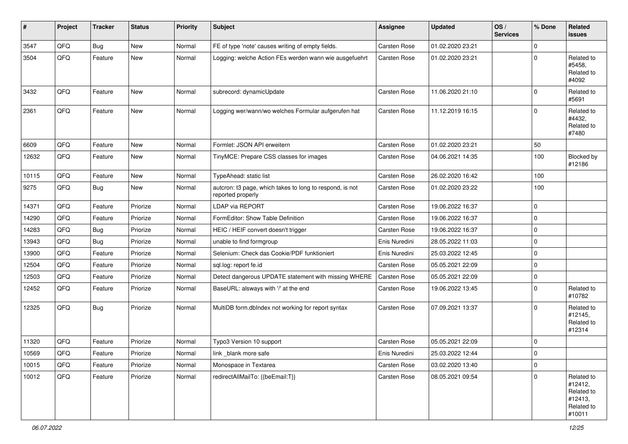| #     | Project | <b>Tracker</b> | <b>Status</b> | <b>Priority</b> | <b>Subject</b>                                                                | <b>Assignee</b> | <b>Updated</b>   | OS/<br><b>Services</b> | % Done      | Related<br>issues                                                      |
|-------|---------|----------------|---------------|-----------------|-------------------------------------------------------------------------------|-----------------|------------------|------------------------|-------------|------------------------------------------------------------------------|
| 3547  | QFQ     | Bug            | New           | Normal          | FE of type 'note' causes writing of empty fields.                             | Carsten Rose    | 01.02.2020 23:21 |                        | 0           |                                                                        |
| 3504  | QFQ     | Feature        | <b>New</b>    | Normal          | Logging: welche Action FEs werden wann wie ausgefuehrt                        | Carsten Rose    | 01.02.2020 23:21 |                        | $\mathbf 0$ | Related to<br>#5458,<br>Related to<br>#4092                            |
| 3432  | QFQ     | Feature        | New           | Normal          | subrecord: dynamicUpdate                                                      | Carsten Rose    | 11.06.2020 21:10 |                        | $\Omega$    | Related to<br>#5691                                                    |
| 2361  | QFQ     | Feature        | New           | Normal          | Logging wer/wann/wo welches Formular aufgerufen hat                           | Carsten Rose    | 11.12.2019 16:15 |                        | $\mathbf 0$ | Related to<br>#4432,<br>Related to<br>#7480                            |
| 6609  | QFQ     | Feature        | <b>New</b>    | Normal          | Formlet: JSON API erweitern                                                   | Carsten Rose    | 01.02.2020 23:21 |                        | 50          |                                                                        |
| 12632 | QFQ     | Feature        | New           | Normal          | TinyMCE: Prepare CSS classes for images                                       | Carsten Rose    | 04.06.2021 14:35 |                        | 100         | Blocked by<br>#12186                                                   |
| 10115 | QFQ     | Feature        | New           | Normal          | TypeAhead: static list                                                        | Carsten Rose    | 26.02.2020 16:42 |                        | 100         |                                                                        |
| 9275  | QFQ     | Bug            | <b>New</b>    | Normal          | autcron: t3 page, which takes to long to respond, is not<br>reported properly | Carsten Rose    | 01.02.2020 23:22 |                        | 100         |                                                                        |
| 14371 | QFQ     | Feature        | Priorize      | Normal          | <b>LDAP via REPORT</b>                                                        | Carsten Rose    | 19.06.2022 16:37 |                        | 0           |                                                                        |
| 14290 | QFQ     | Feature        | Priorize      | Normal          | FormEditor: Show Table Definition                                             | Carsten Rose    | 19.06.2022 16:37 |                        | $\mathbf 0$ |                                                                        |
| 14283 | QFQ     | Bug            | Priorize      | Normal          | HEIC / HEIF convert doesn't trigger                                           | Carsten Rose    | 19.06.2022 16:37 |                        | $\mathbf 0$ |                                                                        |
| 13943 | QFQ     | Bug            | Priorize      | Normal          | unable to find formgroup                                                      | Enis Nuredini   | 28.05.2022 11:03 |                        | 0           |                                                                        |
| 13900 | QFQ     | Feature        | Priorize      | Normal          | Selenium: Check das Cookie/PDF funktioniert                                   | Enis Nuredini   | 25.03.2022 12:45 |                        | $\mathbf 0$ |                                                                        |
| 12504 | QFQ     | Feature        | Priorize      | Normal          | sql.log: report fe.id                                                         | Carsten Rose    | 05.05.2021 22:09 |                        | 0           |                                                                        |
| 12503 | QFQ     | Feature        | Priorize      | Normal          | Detect dangerous UPDATE statement with missing WHERE                          | Carsten Rose    | 05.05.2021 22:09 |                        | $\mathbf 0$ |                                                                        |
| 12452 | QFQ     | Feature        | Priorize      | Normal          | BaseURL: alsways with '/' at the end                                          | Carsten Rose    | 19.06.2022 13:45 |                        | $\mathbf 0$ | Related to<br>#10782                                                   |
| 12325 | QFQ     | <b>Bug</b>     | Priorize      | Normal          | MultiDB form.dblndex not working for report syntax                            | Carsten Rose    | 07.09.2021 13:37 |                        | $\mathbf 0$ | Related to<br>#12145,<br>Related to<br>#12314                          |
| 11320 | QFQ     | Feature        | Priorize      | Normal          | Typo3 Version 10 support                                                      | Carsten Rose    | 05.05.2021 22:09 |                        | $\mathbf 0$ |                                                                        |
| 10569 | QFQ     | Feature        | Priorize      | Normal          | link_blank more safe                                                          | Enis Nuredini   | 25.03.2022 12:44 |                        | 0           |                                                                        |
| 10015 | QFQ     | Feature        | Priorize      | Normal          | Monospace in Textarea                                                         | Carsten Rose    | 03.02.2020 13:40 |                        | $\pmb{0}$   |                                                                        |
| 10012 | QFQ     | Feature        | Priorize      | Normal          | redirectAllMailTo: {{beEmail:T}}                                              | Carsten Rose    | 08.05.2021 09:54 |                        | 0           | Related to<br>#12412,<br>Related to<br>#12413,<br>Related to<br>#10011 |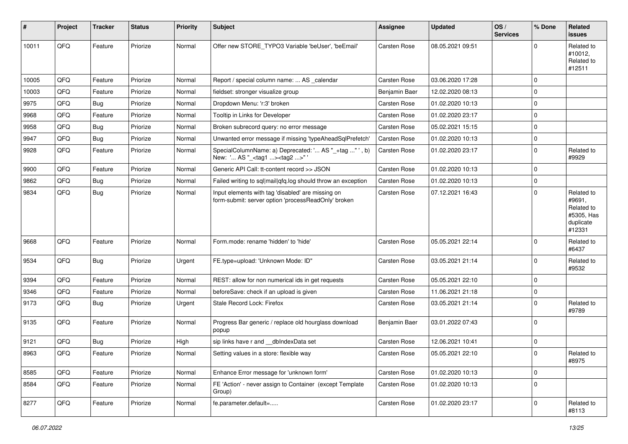| #     | <b>Project</b> | <b>Tracker</b> | <b>Status</b> | <b>Priority</b> | Subject                                                                                                  | <b>Assignee</b>     | <b>Updated</b>   | OS/<br><b>Services</b> | % Done              | Related<br>issues                                                       |
|-------|----------------|----------------|---------------|-----------------|----------------------------------------------------------------------------------------------------------|---------------------|------------------|------------------------|---------------------|-------------------------------------------------------------------------|
| 10011 | QFQ            | Feature        | Priorize      | Normal          | Offer new STORE TYPO3 Variable 'beUser', 'beEmail'                                                       | Carsten Rose        | 08.05.2021 09:51 |                        | $\mathbf 0$         | Related to<br>#10012,<br>Related to<br>#12511                           |
| 10005 | QFQ            | Feature        | Priorize      | Normal          | Report / special column name:  AS _calendar                                                              | Carsten Rose        | 03.06.2020 17:28 |                        | 0                   |                                                                         |
| 10003 | QFQ            | Feature        | Priorize      | Normal          | fieldset: stronger visualize group                                                                       | Benjamin Baer       | 12.02.2020 08:13 |                        | $\mathbf 0$         |                                                                         |
| 9975  | QFQ            | <b>Bug</b>     | Priorize      | Normal          | Dropdown Menu: 'r:3' broken                                                                              | <b>Carsten Rose</b> | 01.02.2020 10:13 |                        | 0                   |                                                                         |
| 9968  | QFQ            | Feature        | Priorize      | Normal          | Tooltip in Links for Developer                                                                           | Carsten Rose        | 01.02.2020 23:17 |                        | $\mathbf 0$         |                                                                         |
| 9958  | QFQ            | <b>Bug</b>     | Priorize      | Normal          | Broken subrecord query: no error message                                                                 | Carsten Rose        | 05.02.2021 15:15 |                        | $\mathbf 0$         |                                                                         |
| 9947  | QFQ            | Bug            | Priorize      | Normal          | Unwanted error message if missing 'typeAheadSqlPrefetch'                                                 | Carsten Rose        | 01.02.2020 10:13 |                        | $\mathbf 0$         |                                                                         |
| 9928  | QFQ            | Feature        | Priorize      | Normal          | SpecialColumnName: a) Deprecated: ' AS "_+tag " ', b)<br>New: ' AS "_ <tag1><tag2>" '</tag2></tag1>      | Carsten Rose        | 01.02.2020 23:17 |                        | $\mathbf 0$         | Related to<br>#9929                                                     |
| 9900  | QFQ            | Feature        | Priorize      | Normal          | Generic API Call: tt-content record >> JSON                                                              | Carsten Rose        | 01.02.2020 10:13 |                        | 0                   |                                                                         |
| 9862  | QFQ            | <b>Bug</b>     | Priorize      | Normal          | Failed writing to sql mail qfq.log should throw an exception                                             | Carsten Rose        | 01.02.2020 10:13 |                        | $\mathbf 0$         |                                                                         |
| 9834  | QFQ            | Bug            | Priorize      | Normal          | Input elements with tag 'disabled' are missing on<br>form-submit: server option 'processReadOnly' broken | Carsten Rose        | 07.12.2021 16:43 |                        | $\mathbf 0$         | Related to<br>#9691,<br>Related to<br>#5305, Has<br>duplicate<br>#12331 |
| 9668  | QFQ            | Feature        | Priorize      | Normal          | Form.mode: rename 'hidden' to 'hide'                                                                     | Carsten Rose        | 05.05.2021 22:14 |                        | $\mathbf 0$         | Related to<br>#6437                                                     |
| 9534  | QFQ            | Bug            | Priorize      | Urgent          | FE.type=upload: 'Unknown Mode: ID"                                                                       | Carsten Rose        | 03.05.2021 21:14 |                        | $\mathbf 0$         | Related to<br>#9532                                                     |
| 9394  | QFQ            | Feature        | Priorize      | Normal          | REST: allow for non numerical ids in get requests                                                        | Carsten Rose        | 05.05.2021 22:10 |                        | $\mathbf 0$         |                                                                         |
| 9346  | QFQ            | Feature        | Priorize      | Normal          | beforeSave: check if an upload is given                                                                  | Carsten Rose        | 11.06.2021 21:18 |                        | 0                   |                                                                         |
| 9173  | QFQ            | <b>Bug</b>     | Priorize      | Urgent          | Stale Record Lock: Firefox                                                                               | Carsten Rose        | 03.05.2021 21:14 |                        | $\mathbf 0$         | Related to<br>#9789                                                     |
| 9135  | QFQ            | Feature        | Priorize      | Normal          | Progress Bar generic / replace old hourglass download<br>popup                                           | Benjamin Baer       | 03.01.2022 07:43 |                        | $\mathbf 0$         |                                                                         |
| 9121  | QFQ            | Bug            | Priorize      | High            | sip links have r and __dbIndexData set                                                                   | Carsten Rose        | 12.06.2021 10:41 |                        | $\mathbf 0$         |                                                                         |
| 8963  | QFQ            | Feature        | Priorize      | Normal          | Setting values in a store: flexible way                                                                  | Carsten Rose        | 05.05.2021 22:10 |                        | $\pmb{0}$           | Related to<br>#8975                                                     |
| 8585  | QFQ            | Feature        | Priorize      | Normal          | Enhance Error message for 'unknown form'                                                                 | Carsten Rose        | 01.02.2020 10:13 |                        | $\mathsf{O}\xspace$ |                                                                         |
| 8584  | QFQ            | Feature        | Priorize      | Normal          | FE 'Action' - never assign to Container (except Template<br>Group)                                       | Carsten Rose        | 01.02.2020 10:13 |                        | $\pmb{0}$           |                                                                         |
| 8277  | QFQ            | Feature        | Priorize      | Normal          | fe.parameter.default=                                                                                    | Carsten Rose        | 01.02.2020 23:17 |                        | $\pmb{0}$           | Related to<br>#8113                                                     |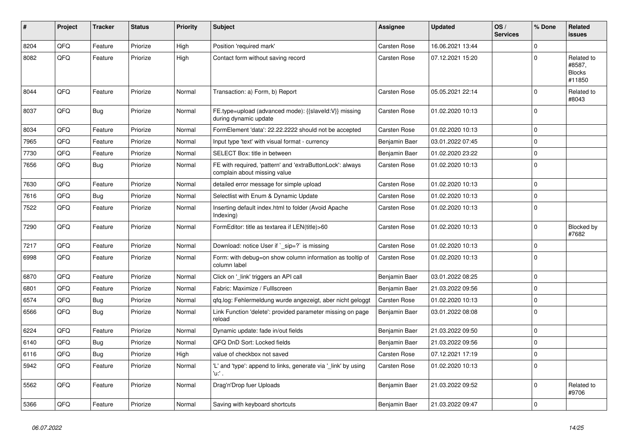| ∦    | Project    | <b>Tracker</b> | <b>Status</b> | <b>Priority</b> | <b>Subject</b>                                                                            | Assignee            | <b>Updated</b>   | OS/<br><b>Services</b> | % Done      | Related<br><b>issues</b>                        |
|------|------------|----------------|---------------|-----------------|-------------------------------------------------------------------------------------------|---------------------|------------------|------------------------|-------------|-------------------------------------------------|
| 8204 | QFQ        | Feature        | Priorize      | High            | Position 'required mark'                                                                  | <b>Carsten Rose</b> | 16.06.2021 13:44 |                        | $\Omega$    |                                                 |
| 8082 | QFQ        | Feature        | Priorize      | High            | Contact form without saving record                                                        | Carsten Rose        | 07.12.2021 15:20 |                        | $\Omega$    | Related to<br>#8587,<br><b>Blocks</b><br>#11850 |
| 8044 | <b>OFO</b> | Feature        | Priorize      | Normal          | Transaction: a) Form, b) Report                                                           | <b>Carsten Rose</b> | 05.05.2021 22:14 |                        | $\Omega$    | Related to<br>#8043                             |
| 8037 | QFQ        | <b>Bug</b>     | Priorize      | Normal          | FE.type=upload (advanced mode): {{slaveId:V}} missing<br>during dynamic update            | Carsten Rose        | 01.02.2020 10:13 |                        | $\Omega$    |                                                 |
| 8034 | QFQ        | Feature        | Priorize      | Normal          | FormElement 'data': 22.22.2222 should not be accepted                                     | <b>Carsten Rose</b> | 01.02.2020 10:13 |                        | $\mathbf 0$ |                                                 |
| 7965 | QFQ        | Feature        | Priorize      | Normal          | Input type 'text' with visual format - currency                                           | Benjamin Baer       | 03.01.2022 07:45 |                        | $\Omega$    |                                                 |
| 7730 | QFQ        | Feature        | Priorize      | Normal          | SELECT Box: title in between                                                              | Benjamin Baer       | 01.02.2020 23:22 |                        | 0           |                                                 |
| 7656 | QFQ        | <b>Bug</b>     | Priorize      | Normal          | FE with required, 'pattern' and 'extraButtonLock': always<br>complain about missing value | Carsten Rose        | 01.02.2020 10:13 |                        | $\Omega$    |                                                 |
| 7630 | QFQ        | Feature        | Priorize      | Normal          | detailed error message for simple upload                                                  | Carsten Rose        | 01.02.2020 10:13 |                        | $\mathbf 0$ |                                                 |
| 7616 | QFQ        | <b>Bug</b>     | Priorize      | Normal          | Selectlist with Enum & Dynamic Update                                                     | <b>Carsten Rose</b> | 01.02.2020 10:13 |                        | $\Omega$    |                                                 |
| 7522 | QFQ        | Feature        | Priorize      | Normal          | Inserting default index.html to folder (Avoid Apache<br>Indexing)                         | <b>Carsten Rose</b> | 01.02.2020 10:13 |                        | $\Omega$    |                                                 |
| 7290 | QFQ        | Feature        | Priorize      | Normal          | FormEditor: title as textarea if LEN(title)>60                                            | Carsten Rose        | 01.02.2020 10:13 |                        | $\mathbf 0$ | Blocked by<br>#7682                             |
| 7217 | QFQ        | Feature        | Priorize      | Normal          | Download: notice User if ` sip=?` is missing                                              | Carsten Rose        | 01.02.2020 10:13 |                        | $\Omega$    |                                                 |
| 6998 | QFQ        | Feature        | Priorize      | Normal          | Form: with debug=on show column information as tooltip of<br>column label                 | Carsten Rose        | 01.02.2020 10:13 |                        | $\Omega$    |                                                 |
| 6870 | QFQ        | Feature        | Priorize      | Normal          | Click on '_link' triggers an API call                                                     | Benjamin Baer       | 03.01.2022 08:25 |                        | $\Omega$    |                                                 |
| 6801 | QFQ        | Feature        | Priorize      | Normal          | Fabric: Maximize / Fulllscreen                                                            | Benjamin Baer       | 21.03.2022 09:56 |                        | $\Omega$    |                                                 |
| 6574 | QFQ        | Bug            | Priorize      | Normal          | gfg.log: Fehlermeldung wurde angezeigt, aber nicht geloggt                                | Carsten Rose        | 01.02.2020 10:13 |                        | $\Omega$    |                                                 |
| 6566 | QFQ        | Bug            | Priorize      | Normal          | Link Function 'delete': provided parameter missing on page<br>reload                      | Benjamin Baer       | 03.01.2022 08:08 |                        | $\Omega$    |                                                 |
| 6224 | QFQ        | Feature        | Priorize      | Normal          | Dynamic update: fade in/out fields                                                        | Benjamin Baer       | 21.03.2022 09:50 |                        | $\mathbf 0$ |                                                 |
| 6140 | QFQ        | Bug            | Priorize      | Normal          | QFQ DnD Sort: Locked fields                                                               | Benjamin Baer       | 21.03.2022 09:56 |                        | $\Omega$    |                                                 |
| 6116 | QFQ        | <b>Bug</b>     | Priorize      | High            | value of checkbox not saved                                                               | Carsten Rose        | 07.12.2021 17:19 |                        | $\Omega$    |                                                 |
| 5942 | QFQ        | Feature        | Priorize      | Normal          | 'L' and 'type': append to links, generate via '_link' by using<br>'u' .                   | Carsten Rose        | 01.02.2020 10:13 |                        | $\Omega$    |                                                 |
| 5562 | QFQ        | Feature        | Priorize      | Normal          | Drag'n'Drop fuer Uploads                                                                  | Benjamin Baer       | 21.03.2022 09:52 |                        | $\Omega$    | Related to<br>#9706                             |
| 5366 | QFQ        | Feature        | Priorize      | Normal          | Saving with keyboard shortcuts                                                            | Benjamin Baer       | 21.03.2022 09:47 |                        | $\Omega$    |                                                 |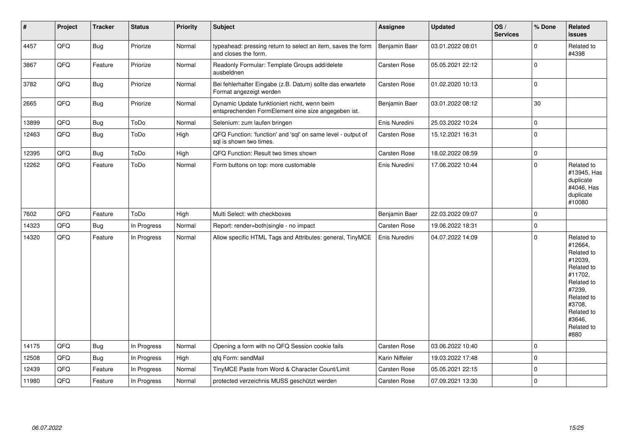| $\vert$ # | Project | <b>Tracker</b> | <b>Status</b> | <b>Priority</b> | <b>Subject</b>                                                                                      | Assignee            | <b>Updated</b>   | OS/<br><b>Services</b> | % Done      | <b>Related</b><br><b>issues</b>                                                                                                                                       |
|-----------|---------|----------------|---------------|-----------------|-----------------------------------------------------------------------------------------------------|---------------------|------------------|------------------------|-------------|-----------------------------------------------------------------------------------------------------------------------------------------------------------------------|
| 4457      | QFQ     | <b>Bug</b>     | Priorize      | Normal          | typeahead: pressing return to select an item, saves the form<br>and closes the form.                | Benjamin Baer       | 03.01.2022 08:01 |                        | $\Omega$    | Related to<br>#4398                                                                                                                                                   |
| 3867      | QFQ     | Feature        | Priorize      | Normal          | Readonly Formular: Template Groups add/delete<br>ausbeldnen                                         | Carsten Rose        | 05.05.2021 22:12 |                        | $\mathbf 0$ |                                                                                                                                                                       |
| 3782      | QFQ     | <b>Bug</b>     | Priorize      | Normal          | Bei fehlerhafter Eingabe (z.B. Datum) sollte das erwartete<br>Format angezeigt werden               | <b>Carsten Rose</b> | 01.02.2020 10:13 |                        | $\mathbf 0$ |                                                                                                                                                                       |
| 2665      | QFQ     | <b>Bug</b>     | Priorize      | Normal          | Dynamic Update funktioniert nicht, wenn beim<br>entsprechenden FormElement eine size angegeben ist. | Benjamin Baer       | 03.01.2022 08:12 |                        | 30          |                                                                                                                                                                       |
| 13899     | QFQ     | <b>Bug</b>     | ToDo          | Normal          | Selenium: zum laufen bringen                                                                        | Enis Nuredini       | 25.03.2022 10:24 |                        | $\mathbf 0$ |                                                                                                                                                                       |
| 12463     | QFQ     | Bug            | ToDo          | High            | QFQ Function: 'function' and 'sql' on same level - output of<br>sal is shown two times.             | Carsten Rose        | 15.12.2021 16:31 |                        | $\mathbf 0$ |                                                                                                                                                                       |
| 12395     | QFQ     | Bug            | ToDo          | High            | QFQ Function: Result two times shown                                                                | Carsten Rose        | 18.02.2022 08:59 |                        | $\pmb{0}$   |                                                                                                                                                                       |
| 12262     | QFQ     | Feature        | ToDo          | Normal          | Form buttons on top: more customable                                                                | Enis Nuredini       | 17.06.2022 10:44 |                        | $\pmb{0}$   | Related to<br>#13945, Has<br>duplicate<br>#4046, Has<br>duplicate<br>#10080                                                                                           |
| 7602      | QFQ     | Feature        | ToDo          | High            | Multi Select: with checkboxes                                                                       | Benjamin Baer       | 22.03.2022 09:07 |                        | $\mathbf 0$ |                                                                                                                                                                       |
| 14323     | QFQ     | <b>Bug</b>     | In Progress   | Normal          | Report: render=both single - no impact                                                              | <b>Carsten Rose</b> | 19.06.2022 18:31 |                        | $\pmb{0}$   |                                                                                                                                                                       |
| 14320     | QFQ     | Feature        | In Progress   | Normal          | Allow specific HTML Tags and Attributes: general, TinyMCE                                           | Enis Nuredini       | 04.07.2022 14:09 |                        | $\mathbf 0$ | Related to<br>#12664,<br>Related to<br>#12039,<br>Related to<br>#11702,<br>Related to<br>#7239,<br>Related to<br>#3708,<br>Related to<br>#3646,<br>Related to<br>#880 |
| 14175     | QFQ     | <b>Bug</b>     | In Progress   | Normal          | Opening a form with no QFQ Session cookie fails                                                     | Carsten Rose        | 03.06.2022 10:40 |                        | $\mathbf 0$ |                                                                                                                                                                       |
| 12508     | QFQ     | <b>Bug</b>     | In Progress   | High            | gfg Form: sendMail                                                                                  | Karin Niffeler      | 19.03.2022 17:48 |                        | $\mathbf 0$ |                                                                                                                                                                       |
| 12439     | QFQ     | Feature        | In Progress   | Normal          | TinyMCE Paste from Word & Character Count/Limit                                                     | Carsten Rose        | 05.05.2021 22:15 |                        | $\mathbf 0$ |                                                                                                                                                                       |
| 11980     | QFQ     | Feature        | In Progress   | Normal          | protected verzeichnis MUSS geschützt werden                                                         | <b>Carsten Rose</b> | 07.09.2021 13:30 |                        | $\mathbf 0$ |                                                                                                                                                                       |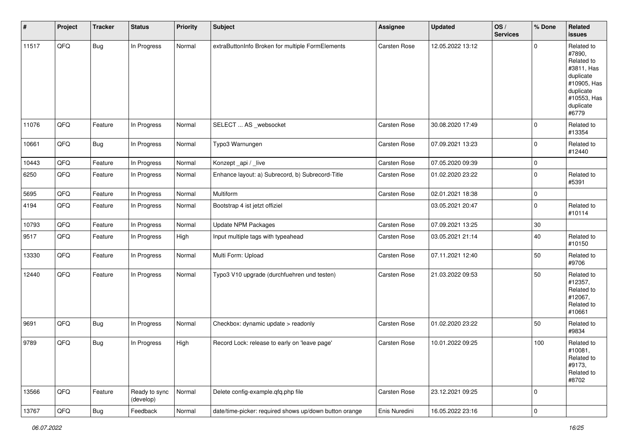| #     | Project        | <b>Tracker</b> | <b>Status</b>              | <b>Priority</b> | Subject                                                | <b>Assignee</b>     | <b>Updated</b>   | OS/<br><b>Services</b> | % Done       | Related<br><b>issues</b>                                                                                                       |
|-------|----------------|----------------|----------------------------|-----------------|--------------------------------------------------------|---------------------|------------------|------------------------|--------------|--------------------------------------------------------------------------------------------------------------------------------|
| 11517 | QFQ            | Bug            | In Progress                | Normal          | extraButtonInfo Broken for multiple FormElements       | Carsten Rose        | 12.05.2022 13:12 |                        | 0            | Related to<br>#7890,<br>Related to<br>#3811, Has<br>duplicate<br>#10905, Has<br>duplicate<br>#10553, Has<br>duplicate<br>#6779 |
| 11076 | QFQ            | Feature        | In Progress                | Normal          | SELECT  AS _websocket                                  | Carsten Rose        | 30.08.2020 17:49 |                        | 0            | Related to<br>#13354                                                                                                           |
| 10661 | QFQ            | <b>Bug</b>     | In Progress                | Normal          | Typo3 Warnungen                                        | Carsten Rose        | 07.09.2021 13:23 |                        | 0            | Related to<br>#12440                                                                                                           |
| 10443 | QFQ            | Feature        | In Progress                | Normal          | Konzept_api / _live                                    | Carsten Rose        | 07.05.2020 09:39 |                        | 0            |                                                                                                                                |
| 6250  | QFQ            | Feature        | In Progress                | Normal          | Enhance layout: a) Subrecord, b) Subrecord-Title       | Carsten Rose        | 01.02.2020 23:22 |                        | 0            | Related to<br>#5391                                                                                                            |
| 5695  | QFQ            | Feature        | In Progress                | Normal          | Multiform                                              | Carsten Rose        | 02.01.2021 18:38 |                        | 0            |                                                                                                                                |
| 4194  | QFQ            | Feature        | In Progress                | Normal          | Bootstrap 4 ist jetzt offiziel                         |                     | 03.05.2021 20:47 |                        | 0            | Related to<br>#10114                                                                                                           |
| 10793 | QFQ            | Feature        | In Progress                | Normal          | Update NPM Packages                                    | Carsten Rose        | 07.09.2021 13:25 |                        | $30\,$       |                                                                                                                                |
| 9517  | QFQ            | Feature        | In Progress                | High            | Input multiple tags with typeahead                     | <b>Carsten Rose</b> | 03.05.2021 21:14 |                        | 40           | Related to<br>#10150                                                                                                           |
| 13330 | QFQ            | Feature        | In Progress                | Normal          | Multi Form: Upload                                     | Carsten Rose        | 07.11.2021 12:40 |                        | 50           | Related to<br>#9706                                                                                                            |
| 12440 | QFQ            | Feature        | In Progress                | Normal          | Typo3 V10 upgrade (durchfuehren und testen)            | Carsten Rose        | 21.03.2022 09:53 |                        | 50           | Related to<br>#12357,<br>Related to<br>#12067,<br>Related to<br>#10661                                                         |
| 9691  | QFQ            | Bug            | In Progress                | Normal          | Checkbox: dynamic update > readonly                    | Carsten Rose        | 01.02.2020 23:22 |                        | 50           | Related to<br>#9834                                                                                                            |
| 9789  | QFQ            | <b>Bug</b>     | In Progress                | High            | Record Lock: release to early on 'leave page'          | Carsten Rose        | 10.01.2022 09:25 |                        | 100          | Related to<br>#10081,<br>Related to<br>#9173,<br>Related to<br>#8702                                                           |
| 13566 | QFQ            | Feature        | Ready to sync<br>(develop) | Normal          | Delete config-example.qfq.php file                     | Carsten Rose        | 23.12.2021 09:25 |                        | $\mathbf{0}$ |                                                                                                                                |
| 13767 | $\mathsf{QFQ}$ | Bug            | Feedback                   | Normal          | date/time-picker: required shows up/down button orange | Enis Nuredini       | 16.05.2022 23:16 |                        | 0            |                                                                                                                                |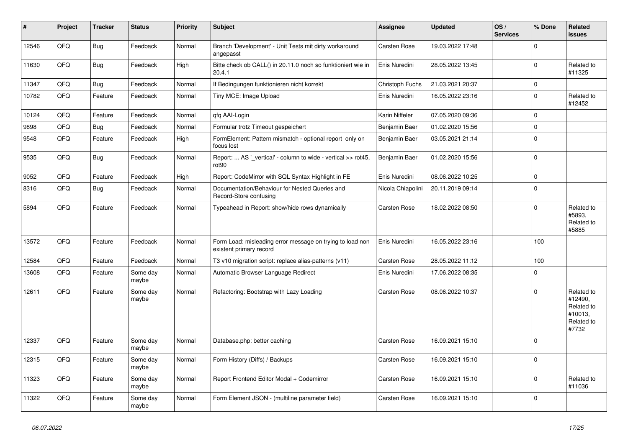| ∥ #   | Project | <b>Tracker</b> | <b>Status</b>     | <b>Priority</b> | <b>Subject</b>                                                                       | <b>Assignee</b>   | <b>Updated</b>   | OS/<br><b>Services</b> | % Done         | Related<br>issues                                                     |
|-------|---------|----------------|-------------------|-----------------|--------------------------------------------------------------------------------------|-------------------|------------------|------------------------|----------------|-----------------------------------------------------------------------|
| 12546 | QFQ     | Bug            | Feedback          | Normal          | Branch 'Development' - Unit Tests mit dirty workaround<br>angepasst                  | Carsten Rose      | 19.03.2022 17:48 |                        | $\Omega$       |                                                                       |
| 11630 | QFQ     | Bug            | Feedback          | High            | Bitte check ob CALL() in 20.11.0 noch so funktioniert wie in<br>20.4.1               | Enis Nuredini     | 28.05.2022 13:45 |                        | $\pmb{0}$      | Related to<br>#11325                                                  |
| 11347 | QFQ     | Bug            | Feedback          | Normal          | If Bedingungen funktionieren nicht korrekt                                           | Christoph Fuchs   | 21.03.2021 20:37 |                        | 0              |                                                                       |
| 10782 | QFQ     | Feature        | Feedback          | Normal          | Tiny MCE: Image Upload                                                               | Enis Nuredini     | 16.05.2022 23:16 |                        | 0              | Related to<br>#12452                                                  |
| 10124 | QFQ     | Feature        | Feedback          | Normal          | qfq AAI-Login                                                                        | Karin Niffeler    | 07.05.2020 09:36 |                        | 0              |                                                                       |
| 9898  | QFQ     | <b>Bug</b>     | Feedback          | Normal          | Formular trotz Timeout gespeichert                                                   | Benjamin Baer     | 01.02.2020 15:56 |                        | 0              |                                                                       |
| 9548  | QFQ     | Feature        | Feedback          | High            | FormElement: Pattern mismatch - optional report only on<br>focus lost                | Benjamin Baer     | 03.05.2021 21:14 |                        | $\mathbf 0$    |                                                                       |
| 9535  | QFQ     | Bug            | Feedback          | Normal          | Report:  AS '_vertical' - column to wide - vertical >> rot45,<br>rot90               | Benjamin Baer     | 01.02.2020 15:56 |                        | $\mathbf 0$    |                                                                       |
| 9052  | QFQ     | Feature        | Feedback          | High            | Report: CodeMirror with SQL Syntax Highlight in FE                                   | Enis Nuredini     | 08.06.2022 10:25 |                        | 0              |                                                                       |
| 8316  | QFQ     | <b>Bug</b>     | Feedback          | Normal          | Documentation/Behaviour for Nested Queries and<br>Record-Store confusing             | Nicola Chiapolini | 20.11.2019 09:14 |                        | $\mathbf 0$    |                                                                       |
| 5894  | QFQ     | Feature        | Feedback          | Normal          | Typeahead in Report: show/hide rows dynamically                                      | Carsten Rose      | 18.02.2022 08:50 |                        | 0              | Related to<br>#5893.<br>Related to<br>#5885                           |
| 13572 | QFQ     | Feature        | Feedback          | Normal          | Form Load: misleading error message on trying to load non<br>existent primary record | Enis Nuredini     | 16.05.2022 23:16 |                        | 100            |                                                                       |
| 12584 | QFQ     | Feature        | Feedback          | Normal          | T3 v10 migration script: replace alias-patterns (v11)                                | Carsten Rose      | 28.05.2022 11:12 |                        | 100            |                                                                       |
| 13608 | QFQ     | Feature        | Some day<br>maybe | Normal          | Automatic Browser Language Redirect                                                  | Enis Nuredini     | 17.06.2022 08:35 |                        | 0              |                                                                       |
| 12611 | QFQ     | Feature        | Some day<br>maybe | Normal          | Refactoring: Bootstrap with Lazy Loading                                             | Carsten Rose      | 08.06.2022 10:37 |                        | $\overline{0}$ | Related to<br>#12490,<br>Related to<br>#10013,<br>Related to<br>#7732 |
| 12337 | QFQ     | Feature        | Some day<br>maybe | Normal          | Database.php: better caching                                                         | Carsten Rose      | 16.09.2021 15:10 |                        | $\pmb{0}$      |                                                                       |
| 12315 | QFQ     | Feature        | Some day<br>maybe | Normal          | Form History (Diffs) / Backups                                                       | Carsten Rose      | 16.09.2021 15:10 |                        | $\Omega$       |                                                                       |
| 11323 | QFQ     | Feature        | Some day<br>maybe | Normal          | Report Frontend Editor Modal + Codemirror                                            | Carsten Rose      | 16.09.2021 15:10 |                        | $\mathbf 0$    | Related to<br>#11036                                                  |
| 11322 | QFQ     | Feature        | Some day<br>maybe | Normal          | Form Element JSON - (multiline parameter field)                                      | Carsten Rose      | 16.09.2021 15:10 |                        | 0              |                                                                       |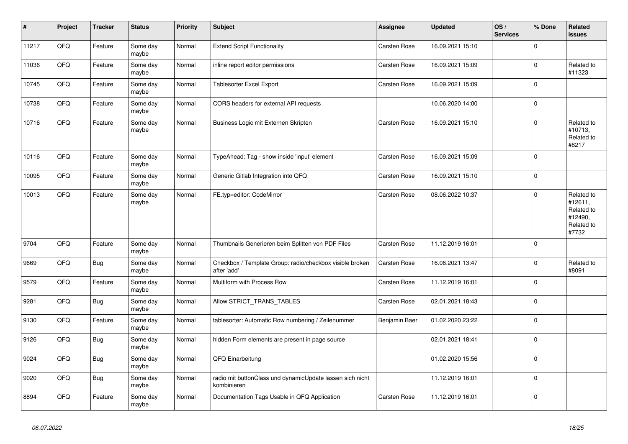| $\vert$ # | Project | <b>Tracker</b> | <b>Status</b>     | <b>Priority</b> | <b>Subject</b>                                                           | <b>Assignee</b> | <b>Updated</b>   | OS/<br><b>Services</b> | % Done      | Related<br><b>issues</b>                                              |
|-----------|---------|----------------|-------------------|-----------------|--------------------------------------------------------------------------|-----------------|------------------|------------------------|-------------|-----------------------------------------------------------------------|
| 11217     | QFQ     | Feature        | Some day<br>maybe | Normal          | <b>Extend Script Functionality</b>                                       | Carsten Rose    | 16.09.2021 15:10 |                        | $\mathbf 0$ |                                                                       |
| 11036     | QFQ     | Feature        | Some day<br>maybe | Normal          | inline report editor permissions                                         | Carsten Rose    | 16.09.2021 15:09 |                        | $\mathbf 0$ | Related to<br>#11323                                                  |
| 10745     | QFQ     | Feature        | Some day<br>maybe | Normal          | Tablesorter Excel Export                                                 | Carsten Rose    | 16.09.2021 15:09 |                        | $\mathbf 0$ |                                                                       |
| 10738     | QFQ     | Feature        | Some day<br>maybe | Normal          | CORS headers for external API requests                                   |                 | 10.06.2020 14:00 |                        | $\mathbf 0$ |                                                                       |
| 10716     | QFQ     | Feature        | Some day<br>maybe | Normal          | Business Logic mit Externen Skripten                                     | Carsten Rose    | 16.09.2021 15:10 |                        | $\pmb{0}$   | Related to<br>#10713,<br>Related to<br>#8217                          |
| 10116     | QFQ     | Feature        | Some day<br>maybe | Normal          | TypeAhead: Tag - show inside 'input' element                             | Carsten Rose    | 16.09.2021 15:09 |                        | $\mathbf 0$ |                                                                       |
| 10095     | QFQ     | Feature        | Some day<br>maybe | Normal          | Generic Gitlab Integration into QFQ                                      | Carsten Rose    | 16.09.2021 15:10 |                        | $\pmb{0}$   |                                                                       |
| 10013     | QFQ     | Feature        | Some day<br>maybe | Normal          | FE.typ=editor: CodeMirror                                                | Carsten Rose    | 08.06.2022 10:37 |                        | $\mathbf 0$ | Related to<br>#12611,<br>Related to<br>#12490,<br>Related to<br>#7732 |
| 9704      | QFQ     | Feature        | Some day<br>maybe | Normal          | Thumbnails Generieren beim Splitten von PDF Files                        | Carsten Rose    | 11.12.2019 16:01 |                        | $\mathbf 0$ |                                                                       |
| 9669      | QFQ     | Bug            | Some day<br>maybe | Normal          | Checkbox / Template Group: radio/checkbox visible broken<br>after 'add'  | Carsten Rose    | 16.06.2021 13:47 |                        | $\pmb{0}$   | Related to<br>#8091                                                   |
| 9579      | QFQ     | Feature        | Some day<br>maybe | Normal          | Multiform with Process Row                                               | Carsten Rose    | 11.12.2019 16:01 |                        | $\mathbf 0$ |                                                                       |
| 9281      | QFQ     | Bug            | Some day<br>maybe | Normal          | Allow STRICT_TRANS_TABLES                                                | Carsten Rose    | 02.01.2021 18:43 |                        | $\pmb{0}$   |                                                                       |
| 9130      | QFQ     | Feature        | Some day<br>maybe | Normal          | tablesorter: Automatic Row numbering / Zeilenummer                       | Benjamin Baer   | 01.02.2020 23:22 |                        | $\mathbf 0$ |                                                                       |
| 9126      | QFQ     | <b>Bug</b>     | Some day<br>maybe | Normal          | hidden Form elements are present in page source                          |                 | 02.01.2021 18:41 |                        | $\mathbf 0$ |                                                                       |
| 9024      | QFQ     | Bug            | Some day<br>maybe | Normal          | QFQ Einarbeitung                                                         |                 | 01.02.2020 15:56 |                        | $\pmb{0}$   |                                                                       |
| 9020      | QFQ     | Bug            | Some day<br>maybe | Normal          | radio mit buttonClass und dynamicUpdate lassen sich nicht<br>kombinieren |                 | 11.12.2019 16:01 |                        | $\mathbf 0$ |                                                                       |
| 8894      | QFQ     | Feature        | Some day<br>maybe | Normal          | Documentation Tags Usable in QFQ Application                             | Carsten Rose    | 11.12.2019 16:01 |                        | $\pmb{0}$   |                                                                       |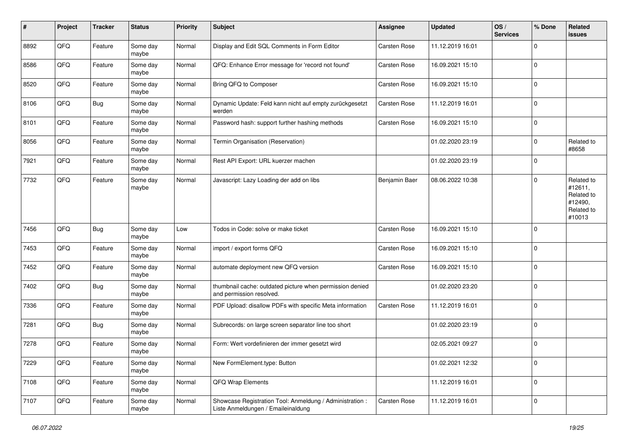| #    | Project | <b>Tracker</b> | <b>Status</b>     | <b>Priority</b> | <b>Subject</b>                                                                                 | <b>Assignee</b> | <b>Updated</b>   | OS/<br><b>Services</b> | % Done      | Related<br><b>issues</b>                                               |
|------|---------|----------------|-------------------|-----------------|------------------------------------------------------------------------------------------------|-----------------|------------------|------------------------|-------------|------------------------------------------------------------------------|
| 8892 | QFQ     | Feature        | Some day<br>maybe | Normal          | Display and Edit SQL Comments in Form Editor                                                   | Carsten Rose    | 11.12.2019 16:01 |                        | $\mathbf 0$ |                                                                        |
| 8586 | QFQ     | Feature        | Some day<br>maybe | Normal          | QFQ: Enhance Error message for 'record not found'                                              | Carsten Rose    | 16.09.2021 15:10 |                        | $\mathbf 0$ |                                                                        |
| 8520 | QFQ     | Feature        | Some day<br>maybe | Normal          | Bring QFQ to Composer                                                                          | Carsten Rose    | 16.09.2021 15:10 |                        | $\mathbf 0$ |                                                                        |
| 8106 | QFQ     | Bug            | Some day<br>maybe | Normal          | Dynamic Update: Feld kann nicht auf empty zurückgesetzt<br>werden                              | Carsten Rose    | 11.12.2019 16:01 |                        | $\mathbf 0$ |                                                                        |
| 8101 | QFQ     | Feature        | Some day<br>maybe | Normal          | Password hash: support further hashing methods                                                 | Carsten Rose    | 16.09.2021 15:10 |                        | $\mathbf 0$ |                                                                        |
| 8056 | QFQ     | Feature        | Some day<br>maybe | Normal          | Termin Organisation (Reservation)                                                              |                 | 01.02.2020 23:19 |                        | $\mathbf 0$ | Related to<br>#8658                                                    |
| 7921 | QFQ     | Feature        | Some day<br>maybe | Normal          | Rest API Export: URL kuerzer machen                                                            |                 | 01.02.2020 23:19 |                        | $\mathbf 0$ |                                                                        |
| 7732 | QFQ     | Feature        | Some day<br>maybe | Normal          | Javascript: Lazy Loading der add on libs                                                       | Benjamin Baer   | 08.06.2022 10:38 |                        | $\mathbf 0$ | Related to<br>#12611,<br>Related to<br>#12490,<br>Related to<br>#10013 |
| 7456 | QFQ     | Bug            | Some day<br>maybe | Low             | Todos in Code: solve or make ticket                                                            | Carsten Rose    | 16.09.2021 15:10 |                        | 0           |                                                                        |
| 7453 | QFQ     | Feature        | Some day<br>maybe | Normal          | import / export forms QFQ                                                                      | Carsten Rose    | 16.09.2021 15:10 |                        | $\mathbf 0$ |                                                                        |
| 7452 | QFQ     | Feature        | Some day<br>maybe | Normal          | automate deployment new QFQ version                                                            | Carsten Rose    | 16.09.2021 15:10 |                        | $\mathbf 0$ |                                                                        |
| 7402 | QFQ     | Bug            | Some day<br>maybe | Normal          | thumbnail cache: outdated picture when permission denied<br>and permission resolved.           |                 | 01.02.2020 23:20 |                        | $\mathbf 0$ |                                                                        |
| 7336 | QFQ     | Feature        | Some day<br>maybe | Normal          | PDF Upload: disallow PDFs with specific Meta information                                       | Carsten Rose    | 11.12.2019 16:01 |                        | $\mathbf 0$ |                                                                        |
| 7281 | QFQ     | Bug            | Some day<br>maybe | Normal          | Subrecords: on large screen separator line too short                                           |                 | 01.02.2020 23:19 |                        | $\mathbf 0$ |                                                                        |
| 7278 | QFQ     | Feature        | Some day<br>maybe | Normal          | Form: Wert vordefinieren der immer gesetzt wird                                                |                 | 02.05.2021 09:27 |                        | $\mathbf 0$ |                                                                        |
| 7229 | QFQ     | Feature        | Some day<br>maybe | Normal          | New FormElement.type: Button                                                                   |                 | 01.02.2021 12:32 |                        | $\pmb{0}$   |                                                                        |
| 7108 | QFQ     | Feature        | Some day<br>maybe | Normal          | QFQ Wrap Elements                                                                              |                 | 11.12.2019 16:01 |                        | $\mathbf 0$ |                                                                        |
| 7107 | QFQ     | Feature        | Some day<br>maybe | Normal          | Showcase Registration Tool: Anmeldung / Administration :<br>Liste Anmeldungen / Emaileinaldung | Carsten Rose    | 11.12.2019 16:01 |                        | $\pmb{0}$   |                                                                        |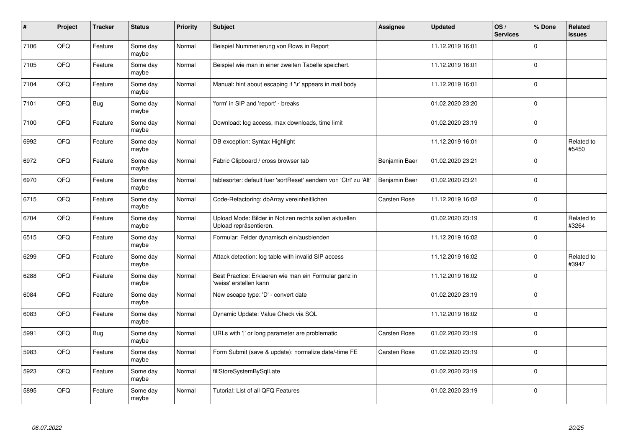| $\pmb{\#}$ | Project | <b>Tracker</b> | <b>Status</b>     | <b>Priority</b> | <b>Subject</b>                                                                   | Assignee      | <b>Updated</b>   | OS/<br><b>Services</b> | % Done      | Related<br><b>issues</b> |
|------------|---------|----------------|-------------------|-----------------|----------------------------------------------------------------------------------|---------------|------------------|------------------------|-------------|--------------------------|
| 7106       | QFQ     | Feature        | Some day<br>maybe | Normal          | Beispiel Nummerierung von Rows in Report                                         |               | 11.12.2019 16:01 |                        | $\mathbf 0$ |                          |
| 7105       | QFQ     | Feature        | Some day<br>maybe | Normal          | Beispiel wie man in einer zweiten Tabelle speichert.                             |               | 11.12.2019 16:01 |                        | $\mathbf 0$ |                          |
| 7104       | QFQ     | Feature        | Some day<br>maybe | Normal          | Manual: hint about escaping if '\r' appears in mail body                         |               | 11.12.2019 16:01 |                        | $\pmb{0}$   |                          |
| 7101       | QFQ     | <b>Bug</b>     | Some day<br>maybe | Normal          | 'form' in SIP and 'report' - breaks                                              |               | 01.02.2020 23:20 |                        | $\Omega$    |                          |
| 7100       | QFQ     | Feature        | Some day<br>maybe | Normal          | Download: log access, max downloads, time limit                                  |               | 01.02.2020 23:19 |                        | $\mathbf 0$ |                          |
| 6992       | QFQ     | Feature        | Some day<br>maybe | Normal          | DB exception: Syntax Highlight                                                   |               | 11.12.2019 16:01 |                        | $\mathbf 0$ | Related to<br>#5450      |
| 6972       | QFQ     | Feature        | Some day<br>maybe | Normal          | Fabric Clipboard / cross browser tab                                             | Benjamin Baer | 01.02.2020 23:21 |                        | $\mathbf 0$ |                          |
| 6970       | QFQ     | Feature        | Some day<br>maybe | Normal          | tablesorter: default fuer 'sortReset' aendern von 'Ctrl' zu 'Alt'                | Benjamin Baer | 01.02.2020 23:21 |                        | $\mathbf 0$ |                          |
| 6715       | QFQ     | Feature        | Some day<br>maybe | Normal          | Code-Refactoring: dbArray vereinheitlichen                                       | Carsten Rose  | 11.12.2019 16:02 |                        | $\mathbf 0$ |                          |
| 6704       | QFQ     | Feature        | Some day<br>maybe | Normal          | Upload Mode: Bilder in Notizen rechts sollen aktuellen<br>Upload repräsentieren. |               | 01.02.2020 23:19 |                        | $\pmb{0}$   | Related to<br>#3264      |
| 6515       | QFQ     | Feature        | Some day<br>maybe | Normal          | Formular: Felder dynamisch ein/ausblenden                                        |               | 11.12.2019 16:02 |                        | $\mathbf 0$ |                          |
| 6299       | QFQ     | Feature        | Some day<br>maybe | Normal          | Attack detection: log table with invalid SIP access                              |               | 11.12.2019 16:02 |                        | $\mathbf 0$ | Related to<br>#3947      |
| 6288       | QFQ     | Feature        | Some day<br>maybe | Normal          | Best Practice: Erklaeren wie man ein Formular ganz in<br>'weiss' erstellen kann  |               | 11.12.2019 16:02 |                        | $\pmb{0}$   |                          |
| 6084       | QFQ     | Feature        | Some day<br>maybe | Normal          | New escape type: 'D' - convert date                                              |               | 01.02.2020 23:19 |                        | $\pmb{0}$   |                          |
| 6083       | QFQ     | Feature        | Some day<br>maybe | Normal          | Dynamic Update: Value Check via SQL                                              |               | 11.12.2019 16:02 |                        | $\mathbf 0$ |                          |
| 5991       | QFQ     | Bug            | Some day<br>maybe | Normal          | URLs with ' ' or long parameter are problematic                                  | Carsten Rose  | 01.02.2020 23:19 |                        | $\mathbf 0$ |                          |
| 5983       | QFQ     | Feature        | Some day<br>maybe | Normal          | Form Submit (save & update): normalize date/-time FE                             | Carsten Rose  | 01.02.2020 23:19 |                        | $\pmb{0}$   |                          |
| 5923       | QFQ     | Feature        | Some day<br>maybe | Normal          | fillStoreSystemBySqlLate                                                         |               | 01.02.2020 23:19 |                        | $\pmb{0}$   |                          |
| 5895       | QFQ     | Feature        | Some day<br>maybe | Normal          | Tutorial: List of all QFQ Features                                               |               | 01.02.2020 23:19 |                        | $\mathbf 0$ |                          |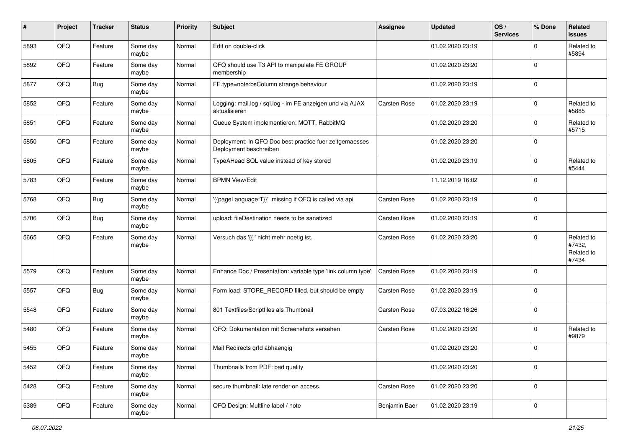| #    | Project | <b>Tracker</b> | <b>Status</b>     | <b>Priority</b> | Subject                                                                           | <b>Assignee</b> | <b>Updated</b>   | OS/<br><b>Services</b> | % Done                  | Related<br>issues                           |
|------|---------|----------------|-------------------|-----------------|-----------------------------------------------------------------------------------|-----------------|------------------|------------------------|-------------------------|---------------------------------------------|
| 5893 | QFQ     | Feature        | Some day<br>maybe | Normal          | Edit on double-click                                                              |                 | 01.02.2020 23:19 |                        | $\mathbf 0$             | Related to<br>#5894                         |
| 5892 | QFQ     | Feature        | Some day<br>maybe | Normal          | QFQ should use T3 API to manipulate FE GROUP<br>membership                        |                 | 01.02.2020 23:20 |                        | $\mathbf 0$             |                                             |
| 5877 | QFQ     | Bug            | Some day<br>maybe | Normal          | FE.type=note:bsColumn strange behaviour                                           |                 | 01.02.2020 23:19 |                        | 0                       |                                             |
| 5852 | QFQ     | Feature        | Some day<br>maybe | Normal          | Logging: mail.log / sql.log - im FE anzeigen und via AJAX<br>aktualisieren        | Carsten Rose    | 01.02.2020 23:19 |                        | $\mathbf 0$             | Related to<br>#5885                         |
| 5851 | QFQ     | Feature        | Some day<br>maybe | Normal          | Queue System implementieren: MQTT, RabbitMQ                                       |                 | 01.02.2020 23:20 |                        | $\mathbf 0$             | Related to<br>#5715                         |
| 5850 | QFQ     | Feature        | Some day<br>maybe | Normal          | Deployment: In QFQ Doc best practice fuer zeitgemaesses<br>Deployment beschreiben |                 | 01.02.2020 23:20 |                        | $\mathbf 0$             |                                             |
| 5805 | QFQ     | Feature        | Some day<br>maybe | Normal          | TypeAHead SQL value instead of key stored                                         |                 | 01.02.2020 23:19 |                        | $\mathbf 0$             | Related to<br>#5444                         |
| 5783 | QFQ     | Feature        | Some day<br>maybe | Normal          | <b>BPMN View/Edit</b>                                                             |                 | 11.12.2019 16:02 |                        | $\mathbf 0$             |                                             |
| 5768 | QFQ     | Bug            | Some day<br>maybe | Normal          | '{{pageLanguage:T}}' missing if QFQ is called via api                             | Carsten Rose    | 01.02.2020 23:19 |                        | $\pmb{0}$               |                                             |
| 5706 | QFQ     | Bug            | Some day<br>maybe | Normal          | upload: fileDestination needs to be sanatized                                     | Carsten Rose    | 01.02.2020 23:19 |                        | $\mathbf 0$             |                                             |
| 5665 | QFQ     | Feature        | Some day<br>maybe | Normal          | Versuch das '{{!' nicht mehr noetig ist.                                          | Carsten Rose    | 01.02.2020 23:20 |                        | $\mathbf 0$             | Related to<br>#7432,<br>Related to<br>#7434 |
| 5579 | QFQ     | Feature        | Some day<br>maybe | Normal          | Enhance Doc / Presentation: variable type 'link column type'                      | Carsten Rose    | 01.02.2020 23:19 |                        | $\mathbf 0$             |                                             |
| 5557 | QFQ     | Bug            | Some day<br>maybe | Normal          | Form load: STORE_RECORD filled, but should be empty                               | Carsten Rose    | 01.02.2020 23:19 |                        | $\mathbf 0$             |                                             |
| 5548 | QFQ     | Feature        | Some day<br>maybe | Normal          | 801 Textfiles/Scriptfiles als Thumbnail                                           | Carsten Rose    | 07.03.2022 16:26 |                        | $\mathbf 0$             |                                             |
| 5480 | QFQ     | Feature        | Some day<br>maybe | Normal          | QFQ: Dokumentation mit Screenshots versehen                                       | Carsten Rose    | 01.02.2020 23:20 |                        | $\mathbf 0$             | Related to<br>#9879                         |
| 5455 | QFQ     | Feature        | Some day<br>maybe | Normal          | Mail Redirects grld abhaengig                                                     |                 | 01.02.2020 23:20 |                        | $\mathbf 0$             |                                             |
| 5452 | QFQ     | Feature        | Some day<br>maybe | Normal          | Thumbnails from PDF: bad quality                                                  |                 | 01.02.2020 23:20 |                        | $\mathbf 0$             |                                             |
| 5428 | QFQ     | Feature        | Some day<br>maybe | Normal          | secure thumbnail: late render on access.                                          | Carsten Rose    | 01.02.2020 23:20 |                        | $\mathbf 0$             |                                             |
| 5389 | QFQ     | Feature        | Some day<br>maybe | Normal          | QFQ Design: Multline label / note                                                 | Benjamin Baer   | 01.02.2020 23:19 |                        | $\overline{\mathbf{0}}$ |                                             |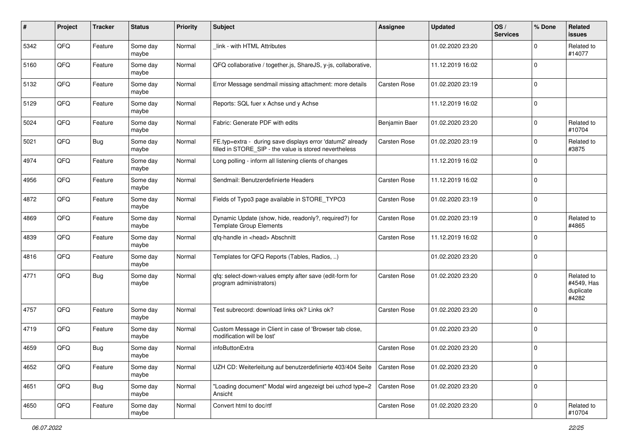| #    | Project | <b>Tracker</b> | <b>Status</b>     | <b>Priority</b> | Subject                                                                                                              | <b>Assignee</b> | <b>Updated</b>   | OS/<br><b>Services</b> | % Done      | Related<br>issues                              |
|------|---------|----------------|-------------------|-----------------|----------------------------------------------------------------------------------------------------------------------|-----------------|------------------|------------------------|-------------|------------------------------------------------|
| 5342 | QFQ     | Feature        | Some day<br>maybe | Normal          | link - with HTML Attributes                                                                                          |                 | 01.02.2020 23:20 |                        | $\mathbf 0$ | Related to<br>#14077                           |
| 5160 | QFQ     | Feature        | Some day<br>maybe | Normal          | QFQ collaborative / together.js, ShareJS, y-js, collaborative,                                                       |                 | 11.12.2019 16:02 |                        | $\mathbf 0$ |                                                |
| 5132 | QFQ     | Feature        | Some day<br>maybe | Normal          | Error Message sendmail missing attachment: more details                                                              | Carsten Rose    | 01.02.2020 23:19 |                        | 0           |                                                |
| 5129 | QFQ     | Feature        | Some day<br>maybe | Normal          | Reports: SQL fuer x Achse und y Achse                                                                                |                 | 11.12.2019 16:02 |                        | $\mathbf 0$ |                                                |
| 5024 | QFQ     | Feature        | Some day<br>maybe | Normal          | Fabric: Generate PDF with edits                                                                                      | Benjamin Baer   | 01.02.2020 23:20 |                        | $\mathbf 0$ | Related to<br>#10704                           |
| 5021 | QFQ     | <b>Bug</b>     | Some day<br>maybe | Normal          | FE.typ=extra - during save displays error 'datum2' already<br>filled in STORE_SIP - the value is stored nevertheless | Carsten Rose    | 01.02.2020 23:19 |                        | $\mathbf 0$ | Related to<br>#3875                            |
| 4974 | QFQ     | Feature        | Some day<br>maybe | Normal          | Long polling - inform all listening clients of changes                                                               |                 | 11.12.2019 16:02 |                        | $\mathbf 0$ |                                                |
| 4956 | QFQ     | Feature        | Some day<br>maybe | Normal          | Sendmail: Benutzerdefinierte Headers                                                                                 | Carsten Rose    | 11.12.2019 16:02 |                        | $\mathbf 0$ |                                                |
| 4872 | QFQ     | Feature        | Some day<br>maybe | Normal          | Fields of Typo3 page available in STORE_TYPO3                                                                        | Carsten Rose    | 01.02.2020 23:19 |                        | $\pmb{0}$   |                                                |
| 4869 | QFQ     | Feature        | Some day<br>maybe | Normal          | Dynamic Update (show, hide, readonly?, required?) for<br><b>Template Group Elements</b>                              | Carsten Rose    | 01.02.2020 23:19 |                        | $\mathbf 0$ | Related to<br>#4865                            |
| 4839 | QFQ     | Feature        | Some day<br>maybe | Normal          | gfg-handle in <head> Abschnitt</head>                                                                                | Carsten Rose    | 11.12.2019 16:02 |                        | $\mathbf 0$ |                                                |
| 4816 | QFQ     | Feature        | Some day<br>maybe | Normal          | Templates for QFQ Reports (Tables, Radios, )                                                                         |                 | 01.02.2020 23:20 |                        | $\mathbf 0$ |                                                |
| 4771 | QFQ     | Bug            | Some day<br>maybe | Normal          | qfq: select-down-values empty after save (edit-form for<br>program administrators)                                   | Carsten Rose    | 01.02.2020 23:20 |                        | $\mathbf 0$ | Related to<br>#4549, Has<br>duplicate<br>#4282 |
| 4757 | QFQ     | Feature        | Some day<br>maybe | Normal          | Test subrecord: download links ok? Links ok?                                                                         | Carsten Rose    | 01.02.2020 23:20 |                        | $\mathbf 0$ |                                                |
| 4719 | QFQ     | Feature        | Some day<br>maybe | Normal          | Custom Message in Client in case of 'Browser tab close,<br>modification will be lost'                                |                 | 01.02.2020 23:20 |                        | $\mathbf 0$ |                                                |
| 4659 | QFQ     | <b>Bug</b>     | Some day<br>maybe | Normal          | infoButtonExtra                                                                                                      | Carsten Rose    | 01.02.2020 23:20 |                        | $\mathbf 0$ |                                                |
| 4652 | QFQ     | Feature        | Some day<br>maybe | Normal          | UZH CD: Weiterleitung auf benutzerdefinierte 403/404 Seite                                                           | Carsten Rose    | 01.02.2020 23:20 |                        | $\mathbf 0$ |                                                |
| 4651 | QFQ     | <b>Bug</b>     | Some day<br>maybe | Normal          | "Loading document" Modal wird angezeigt bei uzhcd type=2<br>Ansicht                                                  | Carsten Rose    | 01.02.2020 23:20 |                        | $\mathbf 0$ |                                                |
| 4650 | QFQ     | Feature        | Some day<br>maybe | Normal          | Convert html to doc/rtf                                                                                              | Carsten Rose    | 01.02.2020 23:20 |                        | $\pmb{0}$   | Related to<br>#10704                           |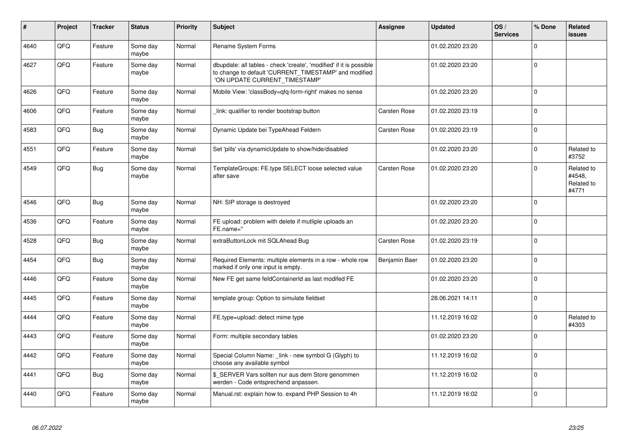| #    | Project | <b>Tracker</b> | <b>Status</b>     | <b>Priority</b> | <b>Subject</b>                                                                                                                                                | Assignee      | <b>Updated</b>   | OS/<br><b>Services</b> | % Done      | Related<br><b>issues</b>                    |
|------|---------|----------------|-------------------|-----------------|---------------------------------------------------------------------------------------------------------------------------------------------------------------|---------------|------------------|------------------------|-------------|---------------------------------------------|
| 4640 | QFQ     | Feature        | Some day<br>maybe | Normal          | Rename System Forms                                                                                                                                           |               | 01.02.2020 23:20 |                        | $\Omega$    |                                             |
| 4627 | QFQ     | Feature        | Some day<br>maybe | Normal          | dbupdate: all tables - check 'create', 'modified' if it is possible<br>to change to default 'CURRENT_TIMESTAMP' and modified<br>'ON UPDATE CURRENT_TIMESTAMP' |               | 01.02.2020 23:20 |                        | 0           |                                             |
| 4626 | QFQ     | Feature        | Some day<br>maybe | Normal          | Mobile View: 'classBody=qfq-form-right' makes no sense                                                                                                        |               | 01.02.2020 23:20 |                        | $\mathbf 0$ |                                             |
| 4606 | QFQ     | Feature        | Some day<br>maybe | Normal          | link: qualifier to render bootstrap button                                                                                                                    | Carsten Rose  | 01.02.2020 23:19 |                        | 0           |                                             |
| 4583 | QFQ     | Bug            | Some day<br>maybe | Normal          | Dynamic Update bei TypeAhead Feldern                                                                                                                          | Carsten Rose  | 01.02.2020 23:19 |                        | 0           |                                             |
| 4551 | QFQ     | Feature        | Some day<br>maybe | Normal          | Set 'pills' via dynamicUpdate to show/hide/disabled                                                                                                           |               | 01.02.2020 23:20 |                        | $\mathbf 0$ | Related to<br>#3752                         |
| 4549 | QFQ     | Bug            | Some day<br>maybe | Normal          | TemplateGroups: FE.type SELECT loose selected value<br>after save                                                                                             | Carsten Rose  | 01.02.2020 23:20 |                        | 0           | Related to<br>#4548,<br>Related to<br>#4771 |
| 4546 | QFQ     | Bug            | Some day<br>maybe | Normal          | NH: SIP storage is destroyed                                                                                                                                  |               | 01.02.2020 23:20 |                        | 0           |                                             |
| 4536 | QFQ     | Feature        | Some day<br>maybe | Normal          | FE upload: problem with delete if mutliple uploads an<br>FE.name="                                                                                            |               | 01.02.2020 23:20 |                        | $\mathbf 0$ |                                             |
| 4528 | QFQ     | Bug            | Some day<br>maybe | Normal          | extraButtonLock mit SQLAhead Bug                                                                                                                              | Carsten Rose  | 01.02.2020 23:19 |                        | 0           |                                             |
| 4454 | QFQ     | <b>Bug</b>     | Some day<br>maybe | Normal          | Required Elements: multiple elements in a row - whole row<br>marked if only one input is empty.                                                               | Benjamin Baer | 01.02.2020 23:20 |                        | 0           |                                             |
| 4446 | QFQ     | Feature        | Some day<br>maybe | Normal          | New FE get same feldContainerId as last modifed FE                                                                                                            |               | 01.02.2020 23:20 |                        | 0           |                                             |
| 4445 | QFQ     | Feature        | Some day<br>maybe | Normal          | template group: Option to simulate fieldset                                                                                                                   |               | 28.06.2021 14:11 |                        | $\mathbf 0$ |                                             |
| 4444 | QFQ     | Feature        | Some day<br>maybe | Normal          | FE.type=upload: detect mime type                                                                                                                              |               | 11.12.2019 16:02 |                        | 0           | Related to<br>#4303                         |
| 4443 | QFQ     | Feature        | Some day<br>maybe | Normal          | Form: multiple secondary tables                                                                                                                               |               | 01.02.2020 23:20 |                        | 0           |                                             |
| 4442 | QFQ     | Feature        | Some day<br>maybe | Normal          | Special Column Name: _link - new symbol G (Glyph) to<br>choose any available symbol                                                                           |               | 11.12.2019 16:02 |                        | $\Omega$    |                                             |
| 4441 | QFQ     | <b>Bug</b>     | Some day<br>maybe | Normal          | \$_SERVER Vars sollten nur aus dem Store genommen<br>werden - Code entsprechend anpassen.                                                                     |               | 11.12.2019 16:02 |                        | 0           |                                             |
| 4440 | QFQ     | Feature        | Some day<br>maybe | Normal          | Manual.rst: explain how to. expand PHP Session to 4h                                                                                                          |               | 11.12.2019 16:02 |                        | $\Omega$    |                                             |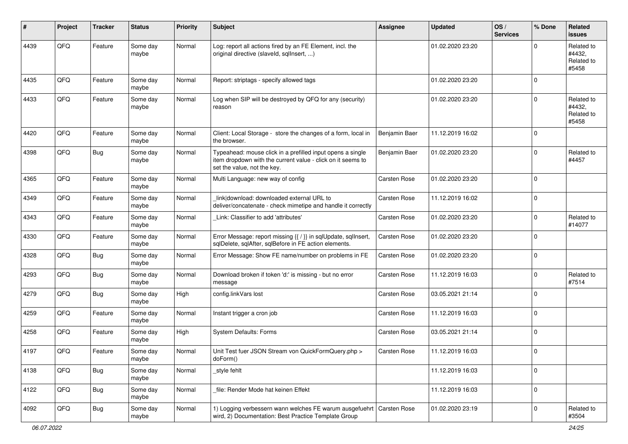| ∦    | Project | <b>Tracker</b> | <b>Status</b>     | <b>Priority</b> | <b>Subject</b>                                                                                                                                           | <b>Assignee</b>     | <b>Updated</b>   | OS/<br><b>Services</b> | % Done   | <b>Related</b><br><b>issues</b>             |
|------|---------|----------------|-------------------|-----------------|----------------------------------------------------------------------------------------------------------------------------------------------------------|---------------------|------------------|------------------------|----------|---------------------------------------------|
| 4439 | QFQ     | Feature        | Some day<br>maybe | Normal          | Log: report all actions fired by an FE Element, incl. the<br>original directive (slaveld, sqllnsert, )                                                   |                     | 01.02.2020 23:20 |                        | $\Omega$ | Related to<br>#4432.<br>Related to<br>#5458 |
| 4435 | QFQ     | Feature        | Some day<br>maybe | Normal          | Report: striptags - specify allowed tags                                                                                                                 |                     | 01.02.2020 23:20 |                        | $\Omega$ |                                             |
| 4433 | QFQ     | Feature        | Some day<br>maybe | Normal          | Log when SIP will be destroyed by QFQ for any (security)<br>reason                                                                                       |                     | 01.02.2020 23:20 |                        | 0        | Related to<br>#4432,<br>Related to<br>#5458 |
| 4420 | QFQ     | Feature        | Some day<br>maybe | Normal          | Client: Local Storage - store the changes of a form, local in<br>the browser.                                                                            | Benjamin Baer       | 11.12.2019 16:02 |                        | $\Omega$ |                                             |
| 4398 | QFQ     | <b>Bug</b>     | Some day<br>maybe | Normal          | Typeahead: mouse click in a prefilled input opens a single<br>item dropdown with the current value - click on it seems to<br>set the value, not the key. | Benjamin Baer       | 01.02.2020 23:20 |                        | 0        | Related to<br>#4457                         |
| 4365 | QFQ     | Feature        | Some day<br>maybe | Normal          | Multi Language: new way of config                                                                                                                        | <b>Carsten Rose</b> | 01.02.2020 23:20 |                        | 0        |                                             |
| 4349 | QFQ     | Feature        | Some day<br>maybe | Normal          | link download: downloaded external URL to<br>deliver/concatenate - check mimetipe and handle it correctly                                                | Carsten Rose        | 11.12.2019 16:02 |                        | 0        |                                             |
| 4343 | QFQ     | Feature        | Some day<br>maybe | Normal          | Link: Classifier to add 'attributes'                                                                                                                     | Carsten Rose        | 01.02.2020 23:20 |                        | 0        | Related to<br>#14077                        |
| 4330 | QFQ     | Feature        | Some day<br>maybe | Normal          | Error Message: report missing {{ / }} in sqlUpdate, sqlInsert,<br>sqlDelete, sqlAfter, sqlBefore in FE action elements.                                  | Carsten Rose        | 01.02.2020 23:20 |                        | $\Omega$ |                                             |
| 4328 | QFQ     | Bug            | Some day<br>maybe | Normal          | Error Message: Show FE name/number on problems in FE                                                                                                     | Carsten Rose        | 01.02.2020 23:20 |                        | 0        |                                             |
| 4293 | QFQ     | <b>Bug</b>     | Some day<br>maybe | Normal          | Download broken if token 'd:' is missing - but no error<br>message                                                                                       | Carsten Rose        | 11.12.2019 16:03 |                        | 0        | Related to<br>#7514                         |
| 4279 | QFQ     | <b>Bug</b>     | Some day<br>maybe | High            | config.linkVars lost                                                                                                                                     | Carsten Rose        | 03.05.2021 21:14 |                        | 0        |                                             |
| 4259 | QFQ     | Feature        | Some day<br>maybe | Normal          | Instant trigger a cron job                                                                                                                               | Carsten Rose        | 11.12.2019 16:03 |                        | 0        |                                             |
| 4258 | QFQ     | Feature        | Some day<br>maybe | High            | System Defaults: Forms                                                                                                                                   | Carsten Rose        | 03.05.2021 21:14 |                        | 0        |                                             |
| 4197 | QFQ     | Feature        | Some day<br>maybe | Normal          | Unit Test fuer JSON Stream von QuickFormQuery.php ><br>doForm()                                                                                          | Carsten Rose        | 11.12.2019 16:03 |                        | 0        |                                             |
| 4138 | QFQ     | Bug            | Some day<br>maybe | Normal          | _style fehlt                                                                                                                                             |                     | 11.12.2019 16:03 |                        | 0        |                                             |
| 4122 | QFQ     | Bug            | Some day<br>maybe | Normal          | file: Render Mode hat keinen Effekt                                                                                                                      |                     | 11.12.2019 16:03 |                        | 0        |                                             |
| 4092 | QFQ     | Bug            | Some day<br>maybe | Normal          | 1) Logging verbessern wann welches FE warum ausgefuehrt   Carsten Rose<br>wird, 2) Documentation: Best Practice Template Group                           |                     | 01.02.2020 23:19 |                        | 0        | Related to<br>#3504                         |